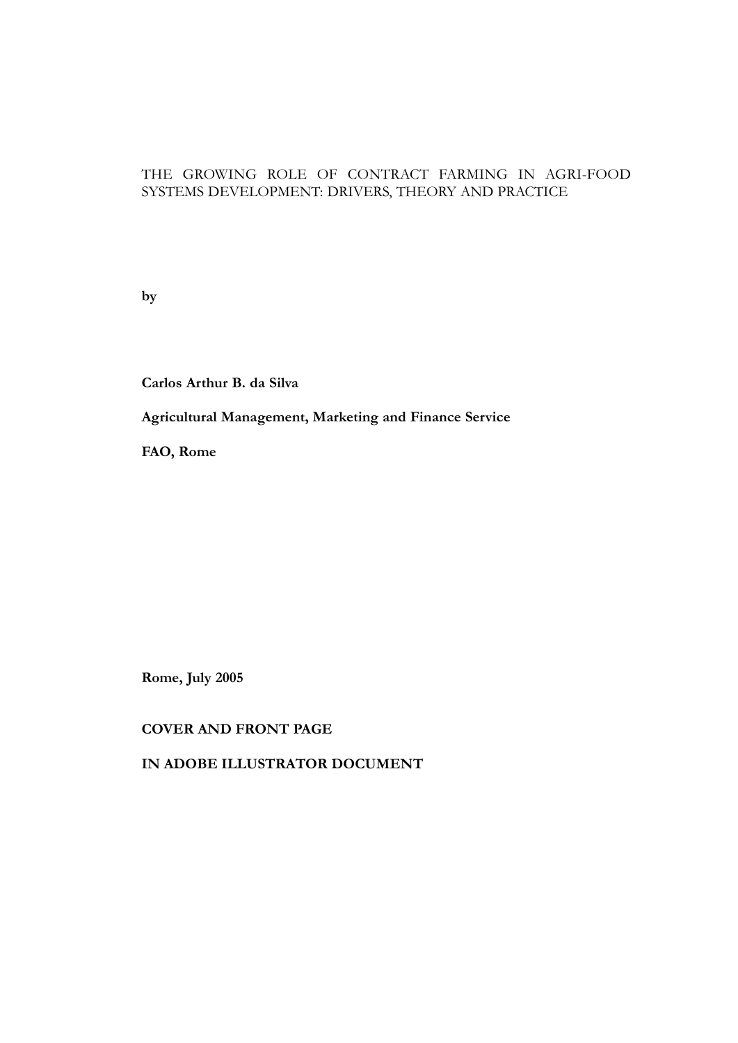### THE GROWING ROLE OF CONTRACT FARMING IN AGRI-FOOD SYSTEMS DEVELOPMENT: DRIVERS, THEORY AND PRACTICE

**by**

**Carlos Arthur B. da Silva**

**Agricultural Management, Marketing and Finance Service**

**FAO, Rome**

**Rome, July 2005**

**COVER AND FRONT PAGE**

**IN ADOBE ILLUSTRATOR DOCUMENT**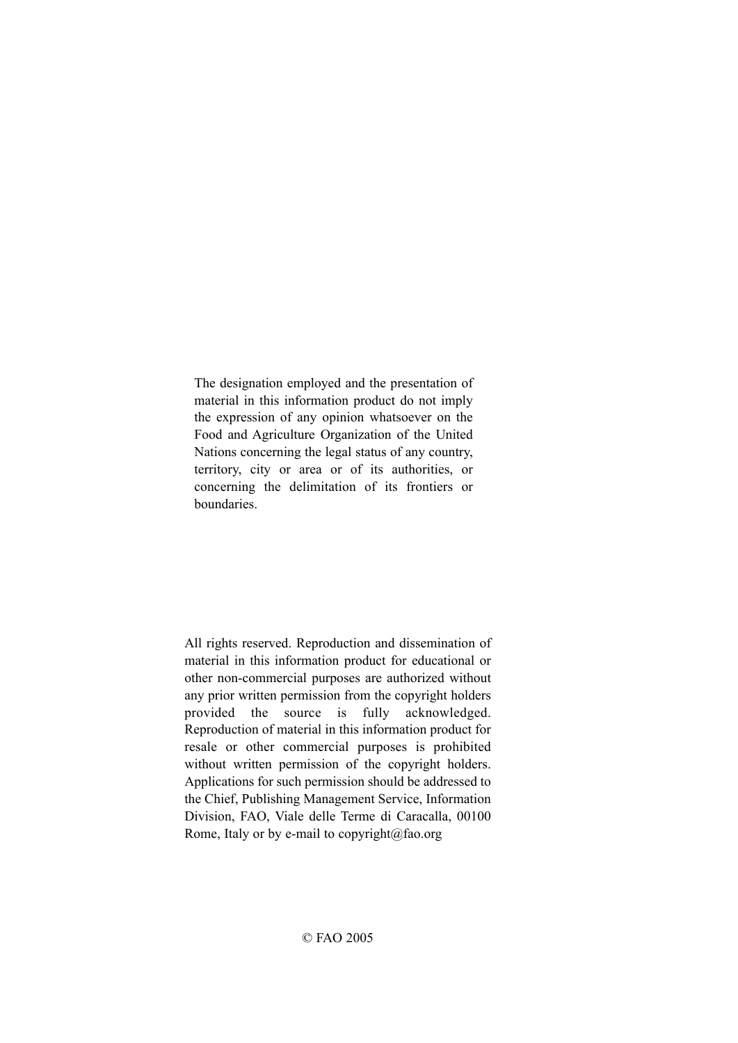The designation employed and the presentation of material in this information product do not imply the expression of any opinion whatsoever on the Food and Agriculture Organization of the United Nations concerning the legal status of any country, territory, city or area or of its authorities, or concerning the delimitation of its frontiers or boundaries.

All rights reserved. Reproduction and dissemination of material in this information product for educational or other non-commercial purposes are authorized without any prior written permission from the copyright holders provided the source is fully acknowledged. Reproduction of material in this information product for resale or other commercial purposes is prohibited without written permission of the copyright holders. Applications for such permission should be addressed to the Chief, Publishing Management Service, Information Division, FAO, Viale delle Terme di Caracalla, 00100 Rome, Italy or by e-mail to copyright@fao.org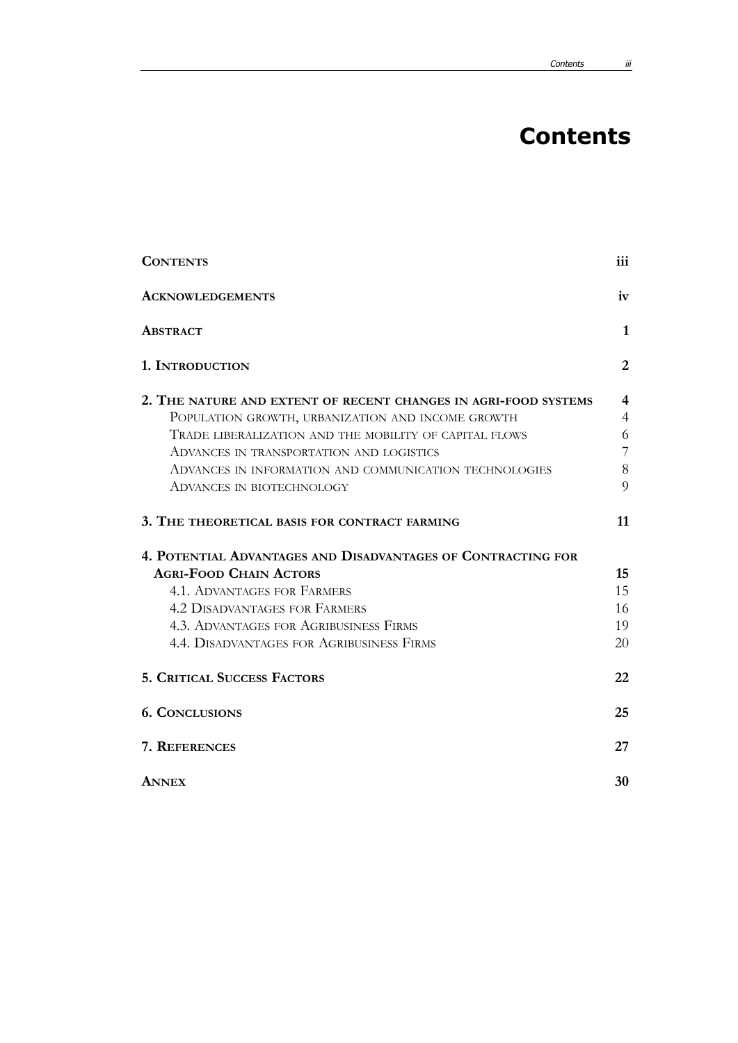# **Contents**

| <b>CONTENTS</b>                                                 | iii            |
|-----------------------------------------------------------------|----------------|
| <b>ACKNOWLEDGEMENTS</b>                                         | iv             |
| <b>ABSTRACT</b>                                                 | 1              |
| 1. INTRODUCTION                                                 | $\overline{2}$ |
| 2. THE NATURE AND EXTENT OF RECENT CHANGES IN AGRI-FOOD SYSTEMS | 4              |
| POPULATION GROWTH, URBANIZATION AND INCOME GROWTH               | $\overline{4}$ |
| TRADE LIBERALIZATION AND THE MOBILITY OF CAPITAL FLOWS          | 6              |
| ADVANCES IN TRANSPORTATION AND LOGISTICS                        | 7              |
| ADVANCES IN INFORMATION AND COMMUNICATION TECHNOLOGIES          | 8              |
| ADVANCES IN BIOTECHNOLOGY                                       | 9              |
| 3. THE THEORETICAL BASIS FOR CONTRACT FARMING                   | 11             |
| 4. POTENTIAL ADVANTAGES AND DISADVANTAGES OF CONTRACTING FOR    |                |
| <b>AGRI-FOOD CHAIN ACTORS</b>                                   | 15             |
| <b>4.1. ADVANTAGES FOR FARMERS</b>                              | 15             |
| <b>4.2 DISADVANTAGES FOR FARMERS</b>                            | 16             |
| <b>4.3. ADVANTAGES FOR AGRIBUSINESS FIRMS</b>                   | 19             |
| <b>4.4. DISADVANTAGES FOR AGRIBUSINESS FIRMS</b>                | 20             |
| <b>5. CRITICAL SUCCESS FACTORS</b>                              | 22             |
| <b>6. CONCLUSIONS</b>                                           | 25             |
| 7. REFERENCES                                                   | 27             |
| <b>ANNEX</b>                                                    | 30             |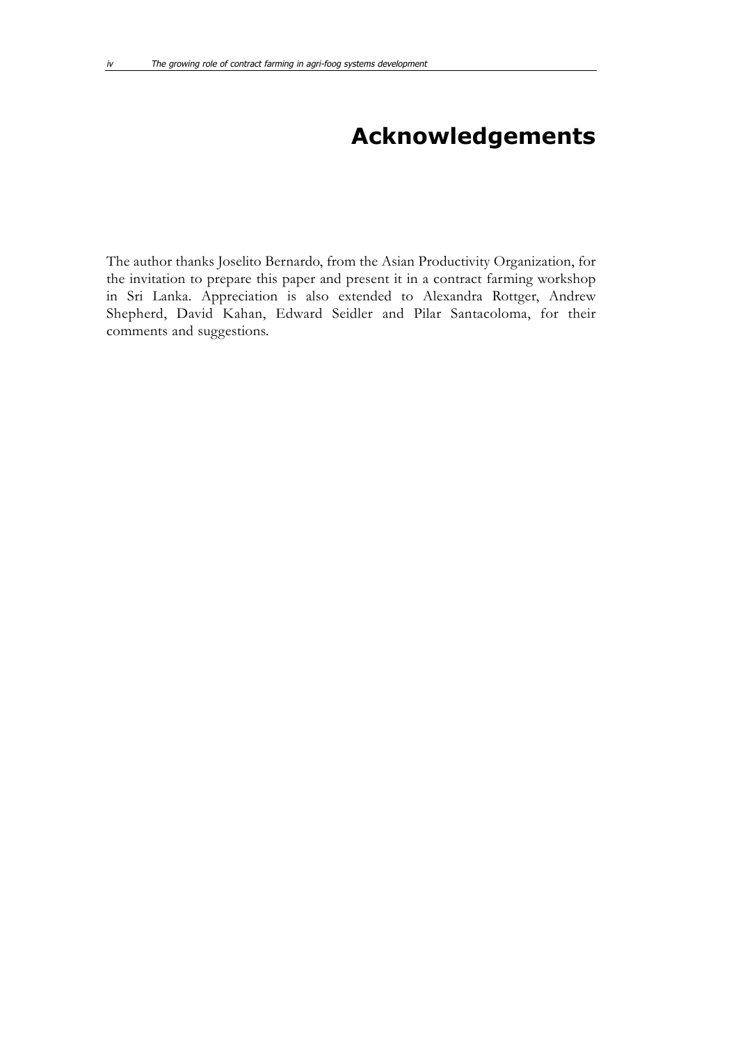# **Acknowledgements**

The author thanks Joselito Bernardo, from the Asian Productivity Organization, for the invitation to prepare this paper and present it in a contract farming workshop in Sri Lanka. Appreciation is also extended to Alexandra Rottger, Andrew Shepherd, David Kahan, Edward Seidler and Pilar Santacoloma, for their comments and suggestions.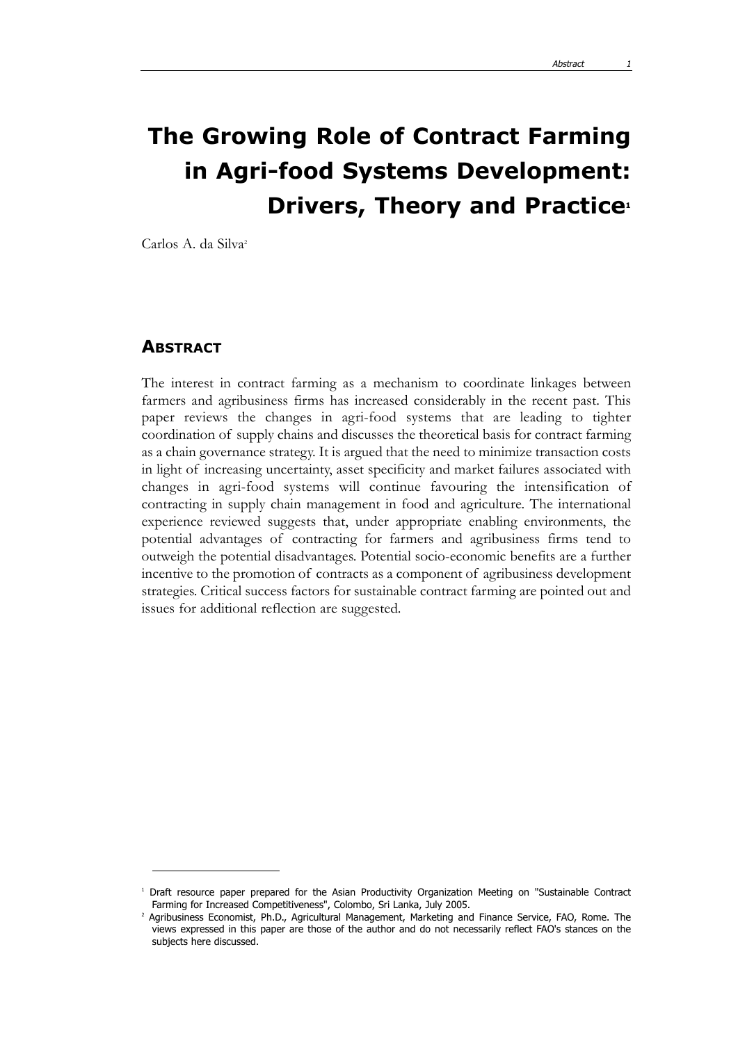# **The Growing Role of Contract Farming in Agri-food Systems Development: Drivers, Theory and Practice<sup>1</sup>**

Carlos A. da Silva2

### **ABSTRACT**

The interest in contract farming as a mechanism to coordinate linkages between farmers and agribusiness firms has increased considerably in the recent past. This paper reviews the changes in agri-food systems that are leading to tighter coordination of supply chains and discusses the theoretical basis for contract farming as a chain governance strategy. It is argued that the need to minimize transaction costs in light of increasing uncertainty, asset specificity and market failures associated with changes in agri-food systems will continue favouring the intensification of contracting in supply chain management in food and agriculture. The international experience reviewed suggests that, under appropriate enabling environments, the potential advantages of contracting for farmers and agribusiness firms tend to outweigh the potential disadvantages. Potential socio-economic benefits are a further incentive to the promotion of contracts as a component of agribusiness development strategies. Critical success factors for sustainable contract farming are pointed out and issues for additional reflection are suggested.

<sup>&</sup>lt;sup>1</sup> Draft resource paper prepared for the Asian Productivity Organization Meeting on "Sustainable Contract Farming for Increased Competitiveness", Colombo, Sri Lanka, July 2005.

<sup>&</sup>lt;sup>2</sup> Agribusiness Economist, Ph.D., Agricultural Management, Marketing and Finance Service, FAO, Rome. The views expressed in this paper are those of the author and do not necessarily reflect FAO's stances on the subjects here discussed.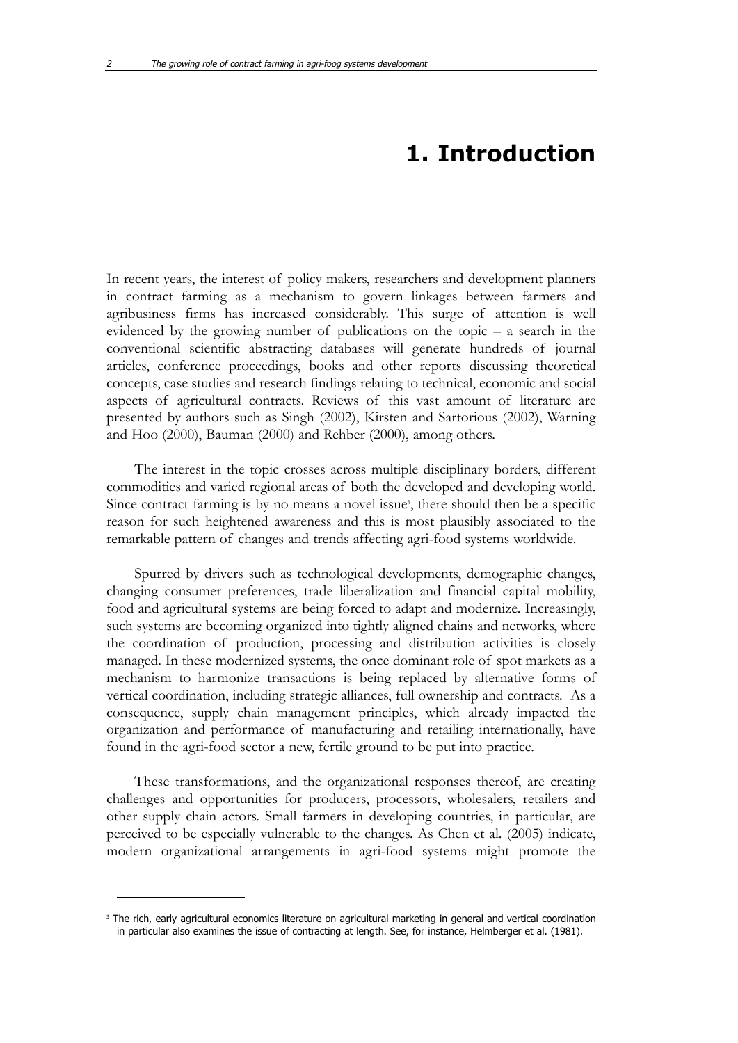## **1. Introduction**

In recent years, the interest of policy makers, researchers and development planners in contract farming as a mechanism to govern linkages between farmers and agribusiness firms has increased considerably. This surge of attention is well evidenced by the growing number of publications on the topic  $-$  a search in the conventional scientific abstracting databases will generate hundreds of journal articles, conference proceedings, books and other reports discussing theoretical concepts, case studies and research findings relating to technical, economic and social aspects of agricultural contracts. Reviews of this vast amount of literature are presented by authors such as Singh (2002), Kirsten and Sartorious (2002), Warning and Hoo (2000), Bauman (2000) and Rehber (2000), among others.

The interest in the topic crosses across multiple disciplinary borders, different commodities and varied regional areas of both the developed and developing world. Since contract farming is by no means a novel issue<sup>3</sup>, there should then be a specific reason for such heightened awareness and this is most plausibly associated to the remarkable pattern of changes and trends affecting agri-food systems worldwide.

Spurred by drivers such as technological developments, demographic changes, changing consumer preferences, trade liberalization and financial capital mobility, food and agricultural systems are being forced to adapt and modernize. Increasingly, such systems are becoming organized into tightly aligned chains and networks, where the coordination of production, processing and distribution activities is closely managed. In these modernized systems, the once dominant role of spot markets as a mechanism to harmonize transactions is being replaced by alternative forms of vertical coordination, including strategic alliances, full ownership and contracts. As a consequence, supply chain management principles, which already impacted the organization and performance of manufacturing and retailing internationally, have found in the agri-food sector a new, fertile ground to be put into practice.

These transformations, and the organizational responses thereof, are creating challenges and opportunities for producers, processors, wholesalers, retailers and other supply chain actors. Small farmers in developing countries, in particular, are perceived to be especially vulnerable to the changes. As Chen et al. (2005) indicate, modern organizational arrangements in agri-food systems might promote the

<sup>&</sup>lt;sup>3</sup> The rich, early agricultural economics literature on agricultural marketing in general and vertical coordination in particular also examines the issue of contracting at length. See, for instance, Helmberger et al. (1981).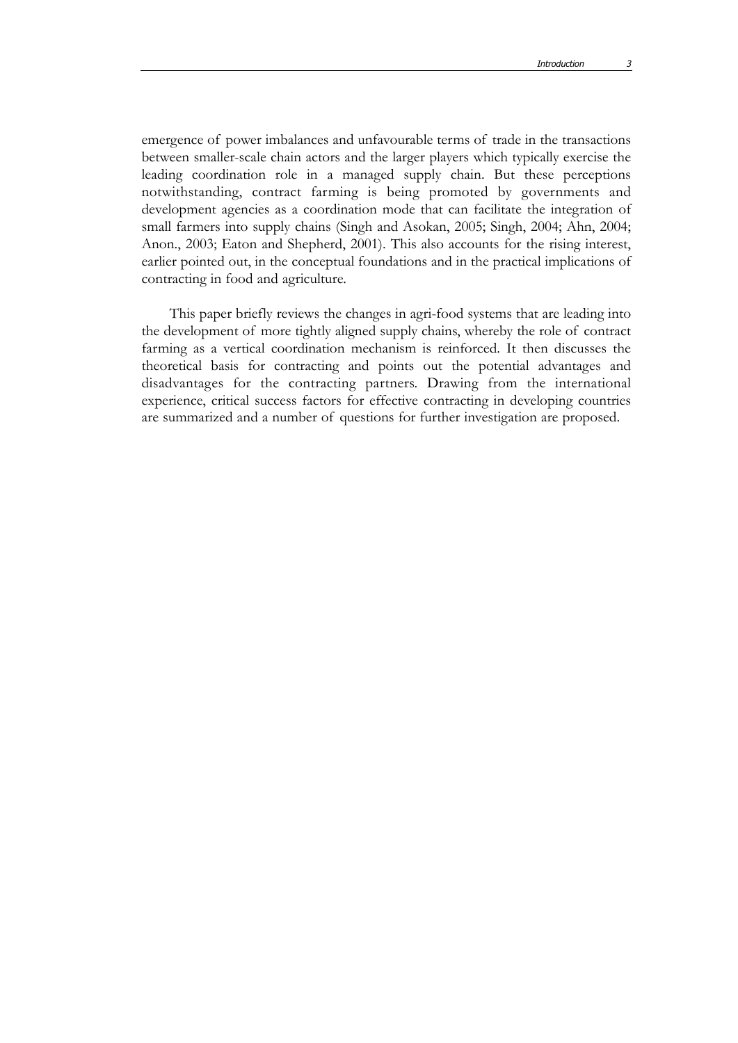emergence of power imbalances and unfavourable terms of trade in the transactions between smaller-scale chain actors and the larger players which typically exercise the leading coordination role in a managed supply chain. But these perceptions notwithstanding, contract farming is being promoted by governments and development agencies as a coordination mode that can facilitate the integration of small farmers into supply chains (Singh and Asokan, 2005; Singh, 2004; Ahn, 2004; Anon., 2003; Eaton and Shepherd, 2001). This also accounts for the rising interest, earlier pointed out, in the conceptual foundations and in the practical implications of contracting in food and agriculture.

This paper briefly reviews the changes in agri-food systems that are leading into the development of more tightly aligned supply chains, whereby the role of contract farming as a vertical coordination mechanism is reinforced. It then discusses the theoretical basis for contracting and points out the potential advantages and disadvantages for the contracting partners. Drawing from the international experience, critical success factors for effective contracting in developing countries are summarized and a number of questions for further investigation are proposed.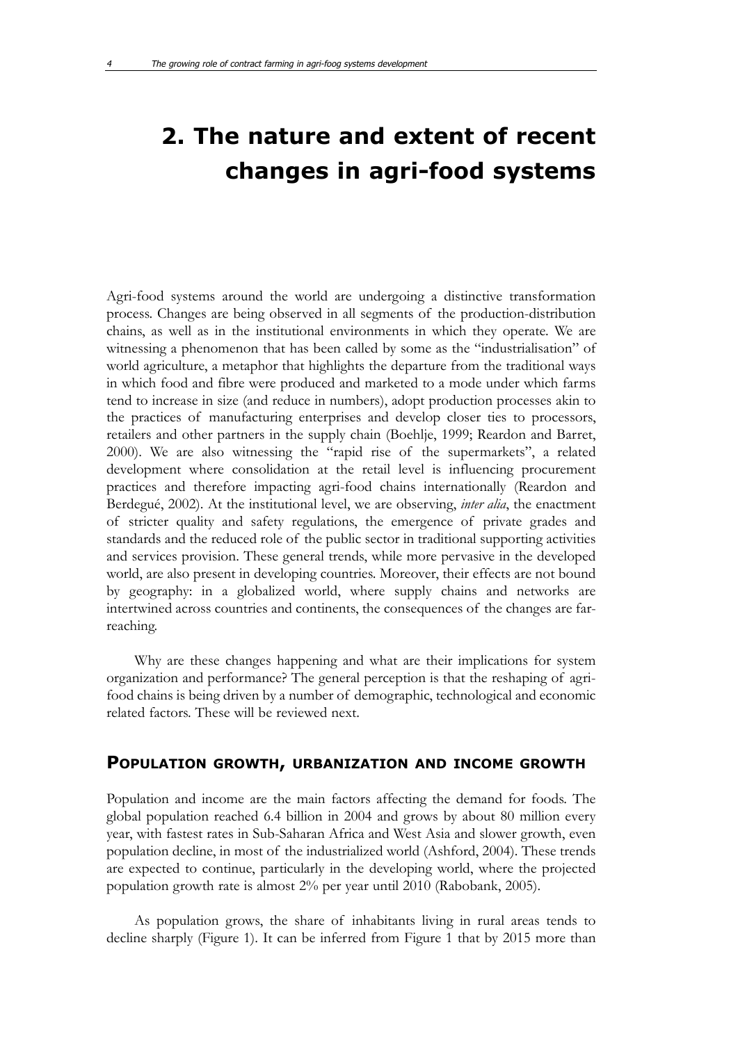# **2. The nature and extent of recent changes in agri-food systems**

Agri-food systems around the world are undergoing a distinctive transformation process. Changes are being observed in all segments of the production-distribution chains, as well as in the institutional environments in which they operate. We are witnessing a phenomenon that has been called by some as the "industrialisation" of world agriculture, a metaphor that highlights the departure from the traditional ways in which food and fibre were produced and marketed to a mode under which farms tend to increase in size (and reduce in numbers), adopt production processes akin to the practices of manufacturing enterprises and develop closer ties to processors, retailers and other partners in the supply chain (Boehlje, 1999; Reardon and Barret, 2000). We are also witnessing the "rapid rise of the supermarkets", a related development where consolidation at the retail level is influencing procurement practices and therefore impacting agri-food chains internationally (Reardon and Berdegué, 2002). At the institutional level, we are observing, *inter alia*, the enactment of stricter quality and safety regulations, the emergence of private grades and standards and the reduced role of the public sector in traditional supporting activities and services provision. These general trends, while more pervasive in the developed world, are also present in developing countries. Moreover, their effects are not bound by geography: in a globalized world, where supply chains and networks are intertwined across countries and continents, the consequences of the changes are farreaching.

Why are these changes happening and what are their implications for system organization and performance? The general perception is that the reshaping of agrifood chains is being driven by a number of demographic, technological and economic related factors. These will be reviewed next.

#### **POPULATION GROWTH, URBANIZATION AND INCOME GROWTH**

Population and income are the main factors affecting the demand for foods. The global population reached 6.4 billion in 2004 and grows by about 80 million every year, with fastest rates in Sub-Saharan Africa and West Asia and slower growth, even population decline, in most of the industrialized world (Ashford, 2004). These trends are expected to continue, particularly in the developing world, where the projected population growth rate is almost 2% per year until 2010 (Rabobank, 2005).

As population grows, the share of inhabitants living in rural areas tends to decline sharply (Figure 1). It can be inferred from Figure 1 that by 2015 more than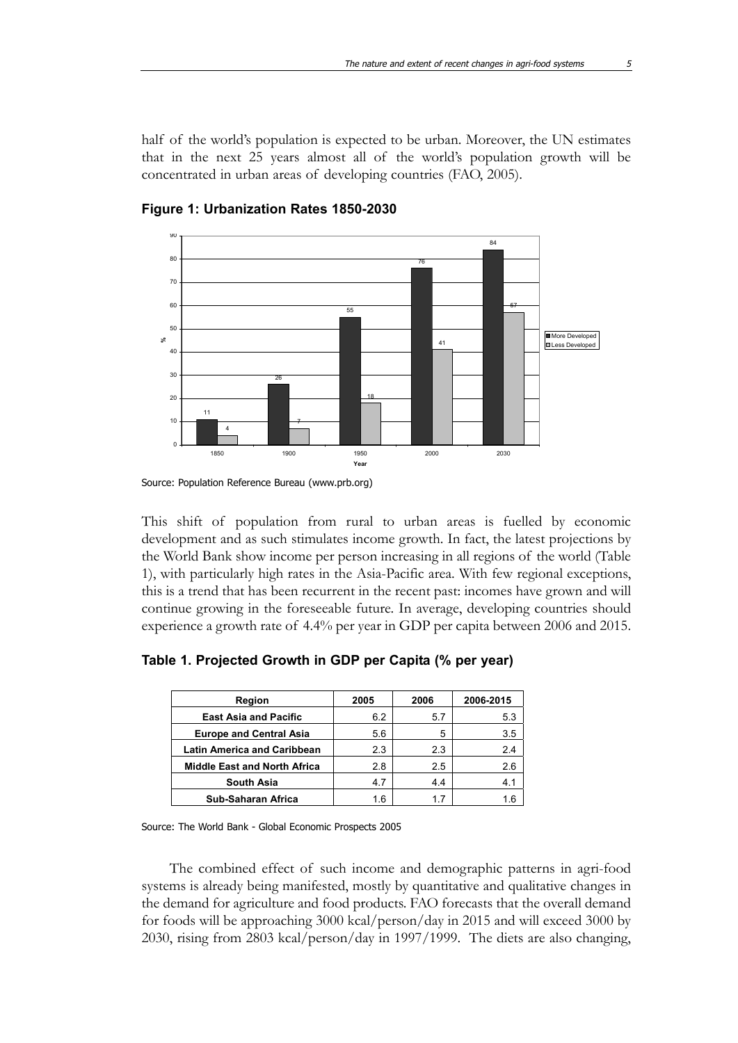half of the world's population is expected to be urban. Moreover, the UN estimates that in the next 25 years almost all of the world's population growth will be concentrated in urban areas of developing countries (FAO, 2005).



**Figure 1: Urbanization Rates 1850-2030**

This shift of population from rural to urban areas is fuelled by economic development and as such stimulates income growth. In fact, the latest projections by the World Bank show income per person increasing in all regions of the world (Table 1), with particularly high rates in the Asia-Pacific area. With few regional exceptions, this is a trend that has been recurrent in the recent past: incomes have grown and will continue growing in the foreseeable future. In average, developing countries should experience a growth rate of 4.4% per year in GDP per capita between 2006 and 2015.

| Region                              | 2005 | 2006 | 2006-2015 |
|-------------------------------------|------|------|-----------|
| <b>East Asia and Pacific</b>        | 6.2  | 57   | 5.3       |
| <b>Europe and Central Asia</b>      | 5.6  | 5    | 3.5       |
| <b>Latin America and Caribbean</b>  | 2.3  | 2.3  | 24        |
| <b>Middle East and North Africa</b> | 2.8  | 2.5  | 2.6       |
| <b>South Asia</b>                   | 4.7  | 4.4  | 4.1       |
| Sub-Saharan Africa                  | 1.6  | 17   | 16        |

**Table 1. Projected Growth in GDP per Capita (% per year)**

Source: The World Bank - Global Economic Prospects 2005

The combined effect of such income and demographic patterns in agri-food systems is already being manifested, mostly by quantitative and qualitative changes in the demand for agriculture and food products. FAO forecasts that the overall demand for foods will be approaching 3000 kcal/person/day in 2015 and will exceed 3000 by 2030, rising from 2803 kcal/person/day in 1997/1999. The diets are also changing,

Source: Population Reference Bureau (www.prb.org)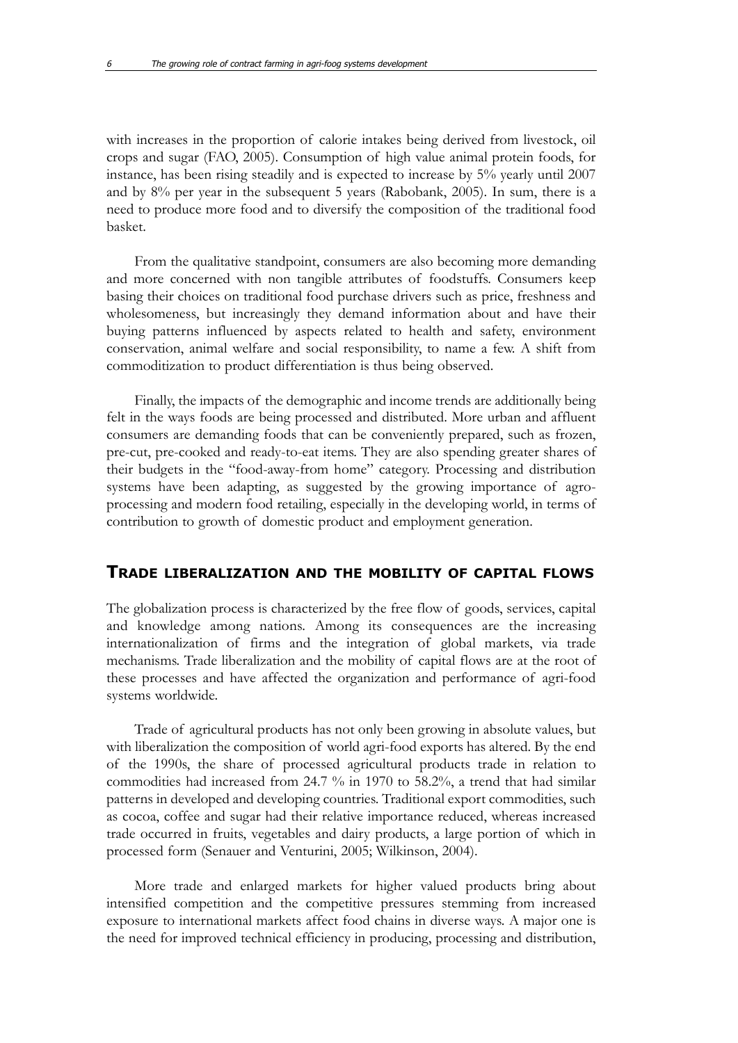with increases in the proportion of calorie intakes being derived from livestock, oil crops and sugar (FAO, 2005). Consumption of high value animal protein foods, for instance, has been rising steadily and is expected to increase by 5% yearly until 2007 and by 8% per year in the subsequent 5 years (Rabobank, 2005). In sum, there is a need to produce more food and to diversify the composition of the traditional food basket.

From the qualitative standpoint, consumers are also becoming more demanding and more concerned with non tangible attributes of foodstuffs. Consumers keep basing their choices on traditional food purchase drivers such as price, freshness and wholesomeness, but increasingly they demand information about and have their buying patterns influenced by aspects related to health and safety, environment conservation, animal welfare and social responsibility, to name a few. A shift from commoditization to product differentiation is thus being observed.

Finally, the impacts of the demographic and income trends are additionally being felt in the ways foods are being processed and distributed. More urban and affluent consumers are demanding foods that can be conveniently prepared, such as frozen, pre-cut, pre-cooked and ready-to-eat items. They are also spending greater shares of their budgets in the "food-away-from home" category. Processing and distribution systems have been adapting, as suggested by the growing importance of agroprocessing and modern food retailing, especially in the developing world, in terms of contribution to growth of domestic product and employment generation.

#### **TRADE LIBERALIZATION AND THE MOBILITY OF CAPITAL FLOWS**

The globalization process is characterized by the free flow of goods, services, capital and knowledge among nations. Among its consequences are the increasing internationalization of firms and the integration of global markets, via trade mechanisms. Trade liberalization and the mobility of capital flows are at the root of these processes and have affected the organization and performance of agri-food systems worldwide.

Trade of agricultural products has not only been growing in absolute values, but with liberalization the composition of world agri-food exports has altered. By the end of the 1990s, the share of processed agricultural products trade in relation to commodities had increased from 24.7 % in 1970 to 58.2%, a trend that had similar patterns in developed and developing countries. Traditional export commodities, such as cocoa, coffee and sugar had their relative importance reduced, whereas increased trade occurred in fruits, vegetables and dairy products, a large portion of which in processed form (Senauer and Venturini, 2005; Wilkinson, 2004).

More trade and enlarged markets for higher valued products bring about intensified competition and the competitive pressures stemming from increased exposure to international markets affect food chains in diverse ways. A major one is the need for improved technical efficiency in producing, processing and distribution,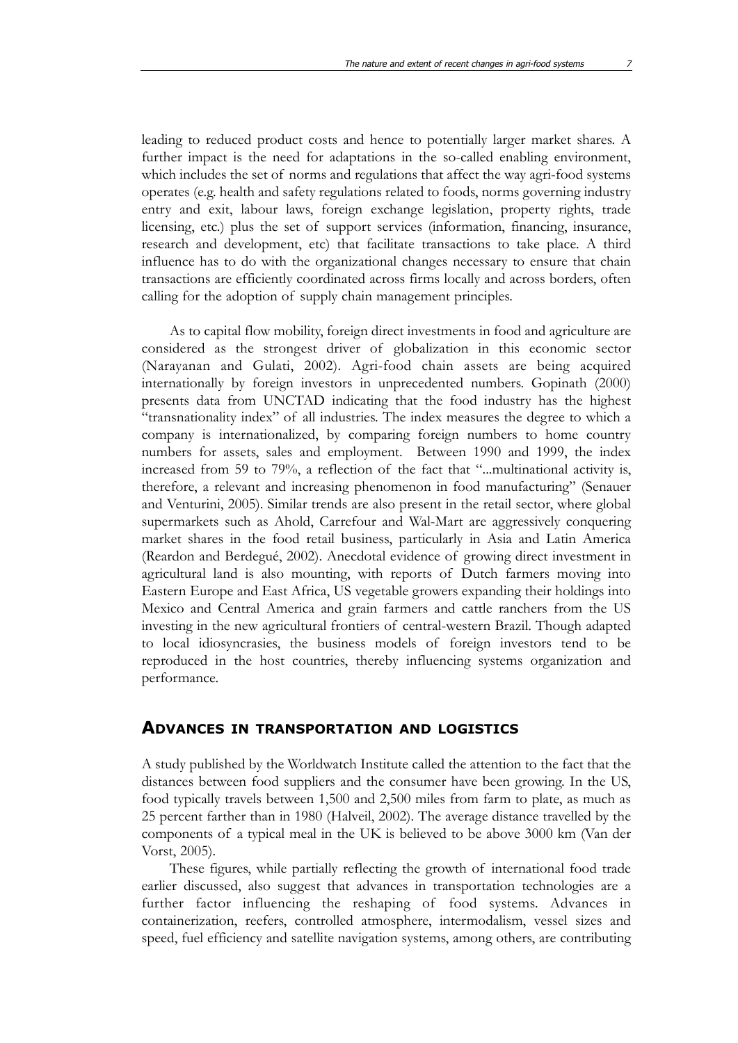leading to reduced product costs and hence to potentially larger market shares. A further impact is the need for adaptations in the so-called enabling environment, which includes the set of norms and regulations that affect the way agri-food systems operates (e.g. health and safety regulations related to foods, norms governing industry entry and exit, labour laws, foreign exchange legislation, property rights, trade licensing, etc.) plus the set of support services (information, financing, insurance, research and development, etc) that facilitate transactions to take place. A third influence has to do with the organizational changes necessary to ensure that chain transactions are efficiently coordinated across firms locally and across borders, often calling for the adoption of supply chain management principles.

As to capital flow mobility, foreign direct investments in food and agriculture are considered as the strongest driver of globalization in this economic sector (Narayanan and Gulati, 2002). Agri-food chain assets are being acquired internationally by foreign investors in unprecedented numbers. Gopinath (2000) presents data from UNCTAD indicating that the food industry has the highest "transnationality index" of all industries. The index measures the degree to which a company is internationalized, by comparing foreign numbers to home country numbers for assets, sales and employment. Between 1990 and 1999, the index increased from 59 to 79%, a reflection of the fact that "...multinational activity is, therefore, a relevant and increasing phenomenon in food manufacturing" (Senauer and Venturini, 2005). Similar trends are also present in the retail sector, where global supermarkets such as Ahold, Carrefour and Wal-Mart are aggressively conquering market shares in the food retail business, particularly in Asia and Latin America (Reardon and Berdegué, 2002). Anecdotal evidence of growing direct investment in agricultural land is also mounting, with reports of Dutch farmers moving into Eastern Europe and East Africa, US vegetable growers expanding their holdings into Mexico and Central America and grain farmers and cattle ranchers from the US investing in the new agricultural frontiers of central-western Brazil. Though adapted to local idiosyncrasies, the business models of foreign investors tend to be reproduced in the host countries, thereby influencing systems organization and performance.

#### **ADVANCES IN TRANSPORTATION AND LOGISTICS**

A study published by the Worldwatch Institute called the attention to the fact that the distances between food suppliers and the consumer have been growing. In the US, food typically travels between 1,500 and 2,500 miles from farm to plate, as much as 25 percent farther than in 1980 (Halveil, 2002). The average distance travelled by the components of a typical meal in the UK is believed to be above 3000 km (Van der Vorst, 2005).

These figures, while partially reflecting the growth of international food trade earlier discussed, also suggest that advances in transportation technologies are a further factor influencing the reshaping of food systems. Advances in containerization, reefers, controlled atmosphere, intermodalism, vessel sizes and speed, fuel efficiency and satellite navigation systems, among others, are contributing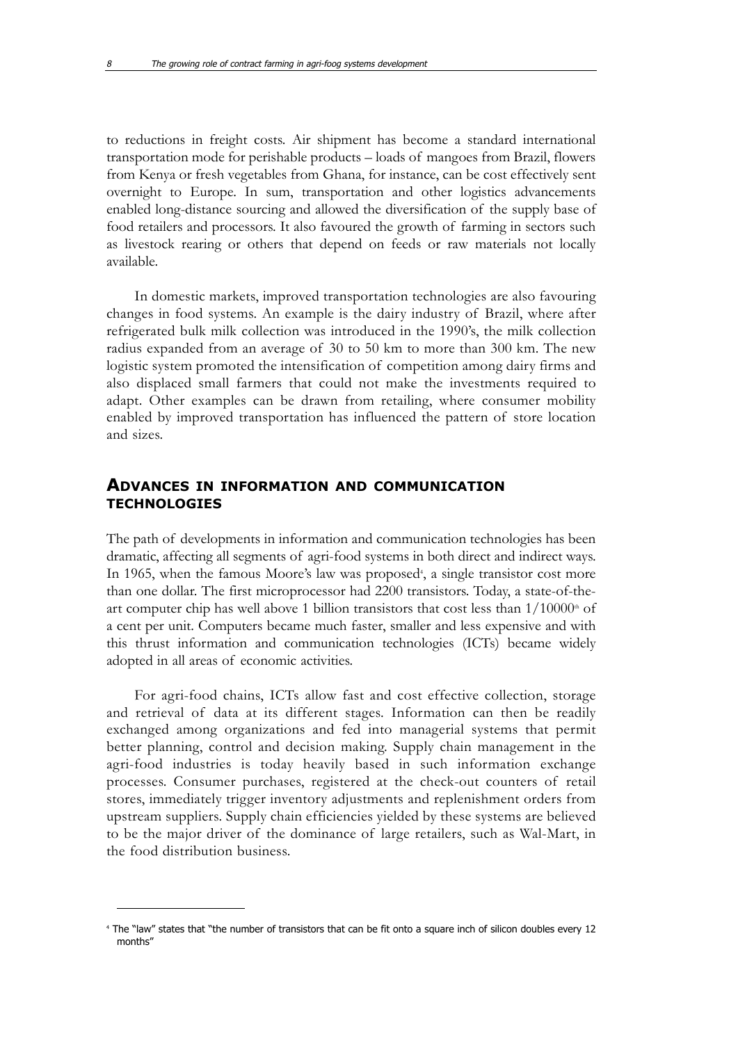to reductions in freight costs. Air shipment has become a standard international transportation mode for perishable products – loads of mangoes from Brazil, flowers from Kenya or fresh vegetables from Ghana, for instance, can be cost effectively sent overnight to Europe. In sum, transportation and other logistics advancements enabled long-distance sourcing and allowed the diversification of the supply base of food retailers and processors. It also favoured the growth of farming in sectors such as livestock rearing or others that depend on feeds or raw materials not locally available.

In domestic markets, improved transportation technologies are also favouring changes in food systems. An example is the dairy industry of Brazil, where after refrigerated bulk milk collection was introduced in the 1990's, the milk collection radius expanded from an average of 30 to 50 km to more than 300 km. The new logistic system promoted the intensification of competition among dairy firms and also displaced small farmers that could not make the investments required to adapt. Other examples can be drawn from retailing, where consumer mobility enabled by improved transportation has influenced the pattern of store location and sizes.

#### **ADVANCES IN INFORMATION AND COMMUNICATION TECHNOLOGIES**

The path of developments in information and communication technologies has been dramatic, affecting all segments of agri-food systems in both direct and indirect ways. In 1965, when the famous Moore's law was proposed<sup>4</sup>, a single transistor cost more than one dollar. The first microprocessor had 2200 transistors. Today, a state-of-theart computer chip has well above 1 billion transistors that cost less than  $1/10000^\text{th}$  of a cent per unit. Computers became much faster, smaller and less expensive and with this thrust information and communication technologies (ICTs) became widely adopted in all areas of economic activities.

For agri-food chains, ICTs allow fast and cost effective collection, storage and retrieval of data at its different stages. Information can then be readily exchanged among organizations and fed into managerial systems that permit better planning, control and decision making. Supply chain management in the agri-food industries is today heavily based in such information exchange processes. Consumer purchases, registered at the check-out counters of retail stores, immediately trigger inventory adjustments and replenishment orders from upstream suppliers. Supply chain efficiencies yielded by these systems are believed to be the major driver of the dominance of large retailers, such as Wal-Mart, in the food distribution business.

<sup>4</sup> The "law" states that "the number of transistors that can be fit onto a square inch of silicon doubles every 12 months"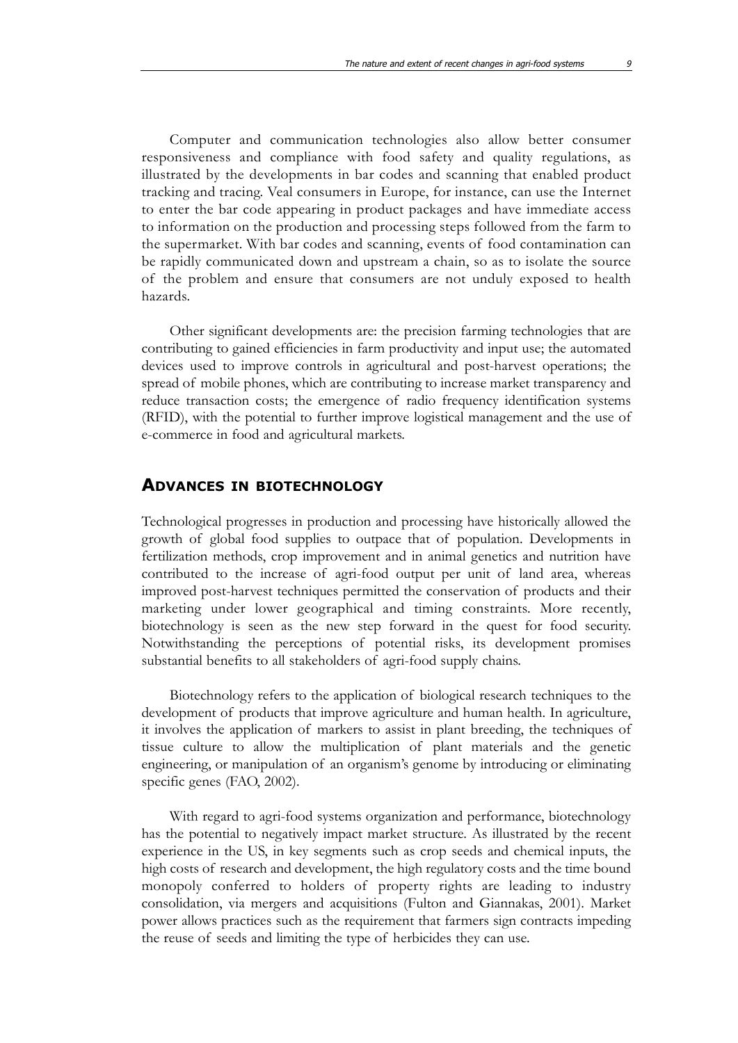Computer and communication technologies also allow better consumer responsiveness and compliance with food safety and quality regulations, as illustrated by the developments in bar codes and scanning that enabled product tracking and tracing. Veal consumers in Europe, for instance, can use the Internet to enter the bar code appearing in product packages and have immediate access to information on the production and processing steps followed from the farm to the supermarket. With bar codes and scanning, events of food contamination can be rapidly communicated down and upstream a chain, so as to isolate the source of the problem and ensure that consumers are not unduly exposed to health hazards.

Other significant developments are: the precision farming technologies that are contributing to gained efficiencies in farm productivity and input use; the automated devices used to improve controls in agricultural and post-harvest operations; the spread of mobile phones, which are contributing to increase market transparency and reduce transaction costs; the emergence of radio frequency identification systems (RFID), with the potential to further improve logistical management and the use of e-commerce in food and agricultural markets.

#### **ADVANCES IN BIOTECHNOLOGY**

Technological progresses in production and processing have historically allowed the growth of global food supplies to outpace that of population. Developments in fertilization methods, crop improvement and in animal genetics and nutrition have contributed to the increase of agri-food output per unit of land area, whereas improved post-harvest techniques permitted the conservation of products and their marketing under lower geographical and timing constraints. More recently, biotechnology is seen as the new step forward in the quest for food security. Notwithstanding the perceptions of potential risks, its development promises substantial benefits to all stakeholders of agri-food supply chains.

Biotechnology refers to the application of biological research techniques to the development of products that improve agriculture and human health. In agriculture, it involves the application of markers to assist in plant breeding, the techniques of tissue culture to allow the multiplication of plant materials and the genetic engineering, or manipulation of an organism's genome by introducing or eliminating specific genes (FAO, 2002).

With regard to agri-food systems organization and performance, biotechnology has the potential to negatively impact market structure. As illustrated by the recent experience in the US, in key segments such as crop seeds and chemical inputs, the high costs of research and development, the high regulatory costs and the time bound monopoly conferred to holders of property rights are leading to industry consolidation, via mergers and acquisitions (Fulton and Giannakas, 2001). Market power allows practices such as the requirement that farmers sign contracts impeding the reuse of seeds and limiting the type of herbicides they can use.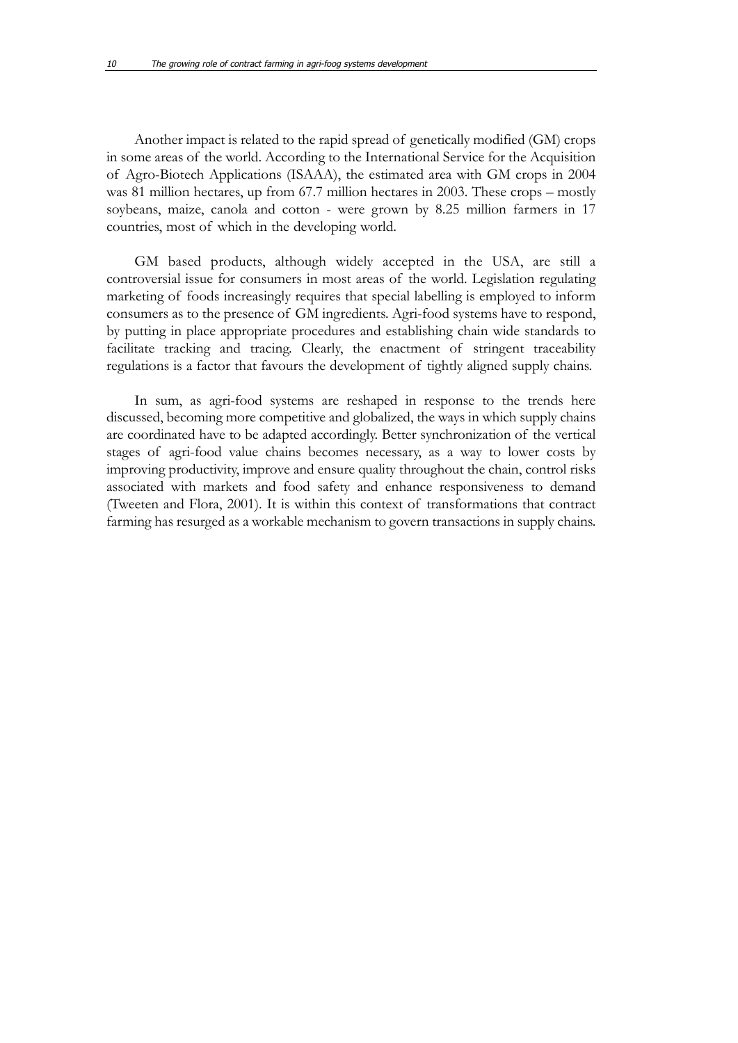Another impact is related to the rapid spread of genetically modified (GM) crops in some areas of the world. According to the International Service for the Acquisition of Agro-Biotech Applications (ISAAA), the estimated area with GM crops in 2004 was 81 million hectares, up from 67.7 million hectares in 2003. These crops – mostly soybeans, maize, canola and cotton - were grown by 8.25 million farmers in 17 countries, most of which in the developing world.

GM based products, although widely accepted in the USA, are still a controversial issue for consumers in most areas of the world. Legislation regulating marketing of foods increasingly requires that special labelling is employed to inform consumers as to the presence of GM ingredients. Agri-food systems have to respond, by putting in place appropriate procedures and establishing chain wide standards to facilitate tracking and tracing. Clearly, the enactment of stringent traceability regulations is a factor that favours the development of tightly aligned supply chains.

In sum, as agri-food systems are reshaped in response to the trends here discussed, becoming more competitive and globalized, the ways in which supply chains are coordinated have to be adapted accordingly. Better synchronization of the vertical stages of agri-food value chains becomes necessary, as a way to lower costs by improving productivity, improve and ensure quality throughout the chain, control risks associated with markets and food safety and enhance responsiveness to demand (Tweeten and Flora, 2001). It is within this context of transformations that contract farming has resurged as a workable mechanism to govern transactions in supply chains.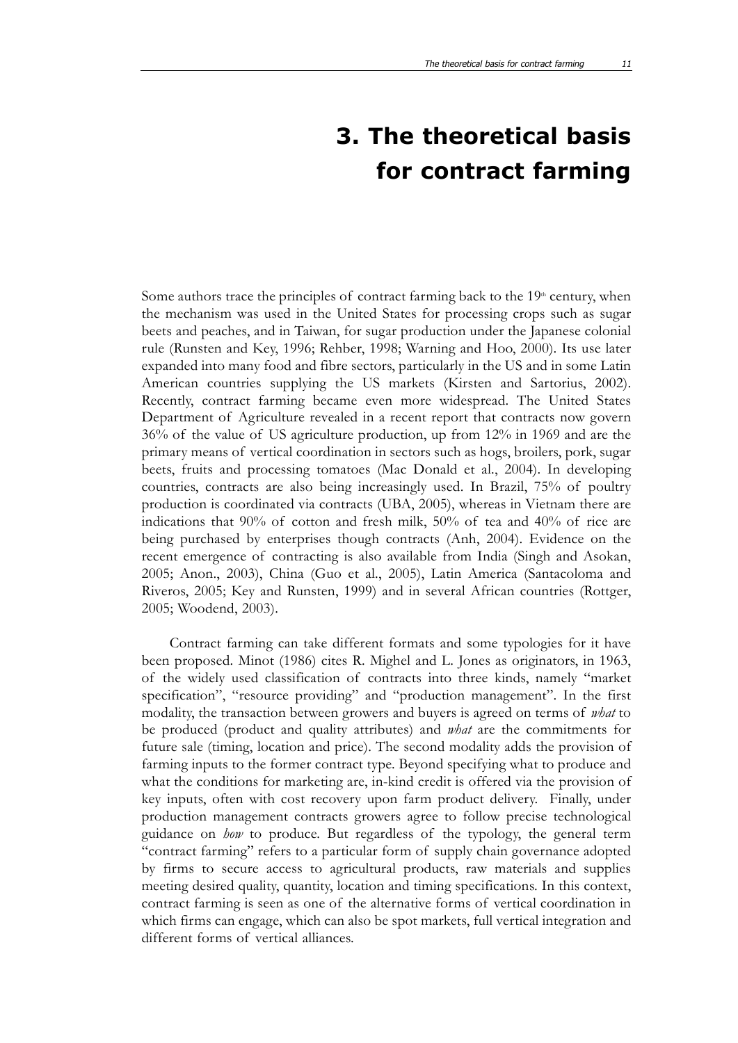# **3. The theoretical basis for contract farming**

Some authors trace the principles of contract farming back to the  $19<sup>th</sup>$  century, when the mechanism was used in the United States for processing crops such as sugar beets and peaches, and in Taiwan, for sugar production under the Japanese colonial rule (Runsten and Key, 1996; Rehber, 1998; Warning and Hoo, 2000). Its use later expanded into many food and fibre sectors, particularly in the US and in some Latin American countries supplying the US markets (Kirsten and Sartorius, 2002). Recently, contract farming became even more widespread. The United States Department of Agriculture revealed in a recent report that contracts now govern 36% of the value of US agriculture production, up from 12% in 1969 and are the primary means of vertical coordination in sectors such as hogs, broilers, pork, sugar beets, fruits and processing tomatoes (Mac Donald et al., 2004). In developing countries, contracts are also being increasingly used. In Brazil, 75% of poultry production is coordinated via contracts (UBA, 2005), whereas in Vietnam there are indications that 90% of cotton and fresh milk, 50% of tea and 40% of rice are being purchased by enterprises though contracts (Anh, 2004). Evidence on the recent emergence of contracting is also available from India (Singh and Asokan, 2005; Anon., 2003), China (Guo et al., 2005), Latin America (Santacoloma and Riveros, 2005; Key and Runsten, 1999) and in several African countries (Rottger, 2005; Woodend, 2003).

Contract farming can take different formats and some typologies for it have been proposed. Minot (1986) cites R. Mighel and L. Jones as originators, in 1963, of the widely used classification of contracts into three kinds, namely "market specification", "resource providing" and "production management". In the first modality, the transaction between growers and buyers is agreed on terms of *what* to be produced (product and quality attributes) and *what* are the commitments for future sale (timing, location and price). The second modality adds the provision of farming inputs to the former contract type. Beyond specifying what to produce and what the conditions for marketing are, in-kind credit is offered via the provision of key inputs, often with cost recovery upon farm product delivery. Finally, under production management contracts growers agree to follow precise technological guidance on *how* to produce. But regardless of the typology, the general term "contract farming" refers to a particular form of supply chain governance adopted by firms to secure access to agricultural products, raw materials and supplies meeting desired quality, quantity, location and timing specifications. In this context, contract farming is seen as one of the alternative forms of vertical coordination in which firms can engage, which can also be spot markets, full vertical integration and different forms of vertical alliances.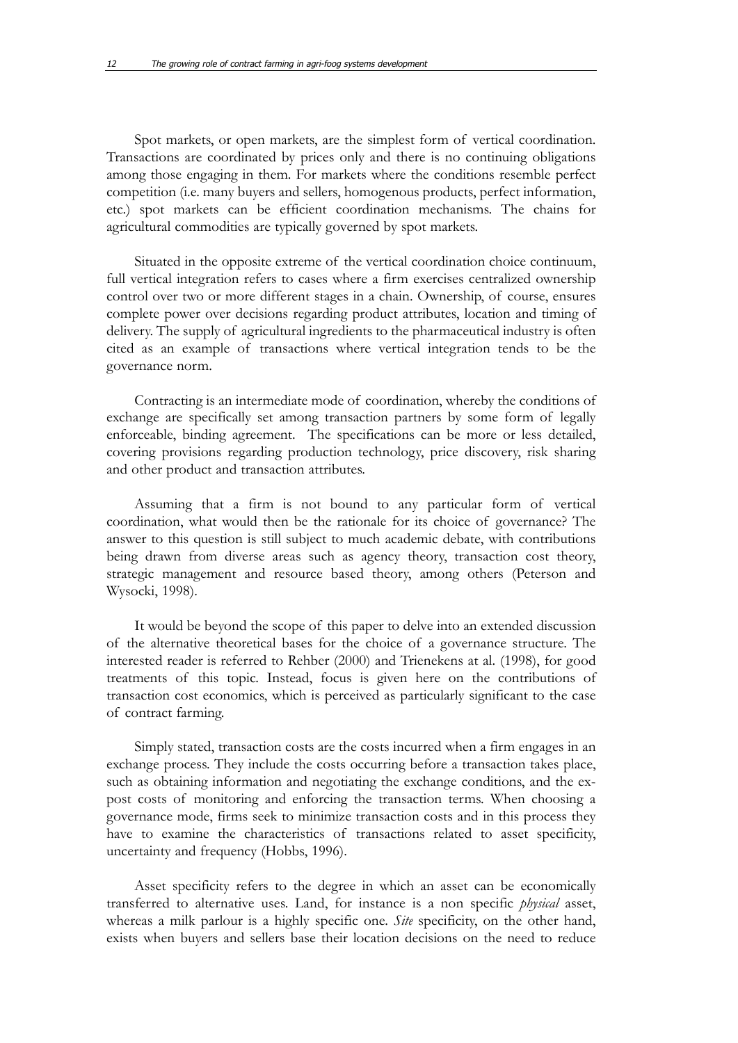Spot markets, or open markets, are the simplest form of vertical coordination. Transactions are coordinated by prices only and there is no continuing obligations among those engaging in them. For markets where the conditions resemble perfect competition (i.e. many buyers and sellers, homogenous products, perfect information, etc.) spot markets can be efficient coordination mechanisms. The chains for agricultural commodities are typically governed by spot markets.

Situated in the opposite extreme of the vertical coordination choice continuum, full vertical integration refers to cases where a firm exercises centralized ownership control over two or more different stages in a chain. Ownership, of course, ensures complete power over decisions regarding product attributes, location and timing of delivery. The supply of agricultural ingredients to the pharmaceutical industry is often cited as an example of transactions where vertical integration tends to be the governance norm.

Contracting is an intermediate mode of coordination, whereby the conditions of exchange are specifically set among transaction partners by some form of legally enforceable, binding agreement. The specifications can be more or less detailed, covering provisions regarding production technology, price discovery, risk sharing and other product and transaction attributes.

Assuming that a firm is not bound to any particular form of vertical coordination, what would then be the rationale for its choice of governance? The answer to this question is still subject to much academic debate, with contributions being drawn from diverse areas such as agency theory, transaction cost theory, strategic management and resource based theory, among others (Peterson and Wysocki, 1998).

It would be beyond the scope of this paper to delve into an extended discussion of the alternative theoretical bases for the choice of a governance structure. The interested reader is referred to Rehber (2000) and Trienekens at al. (1998), for good treatments of this topic. Instead, focus is given here on the contributions of transaction cost economics, which is perceived as particularly significant to the case of contract farming.

Simply stated, transaction costs are the costs incurred when a firm engages in an exchange process. They include the costs occurring before a transaction takes place, such as obtaining information and negotiating the exchange conditions, and the expost costs of monitoring and enforcing the transaction terms. When choosing a governance mode, firms seek to minimize transaction costs and in this process they have to examine the characteristics of transactions related to asset specificity, uncertainty and frequency (Hobbs, 1996).

Asset specificity refers to the degree in which an asset can be economically transferred to alternative uses. Land, for instance is a non specific *physical* asset, whereas a milk parlour is a highly specific one. *Site* specificity, on the other hand, exists when buyers and sellers base their location decisions on the need to reduce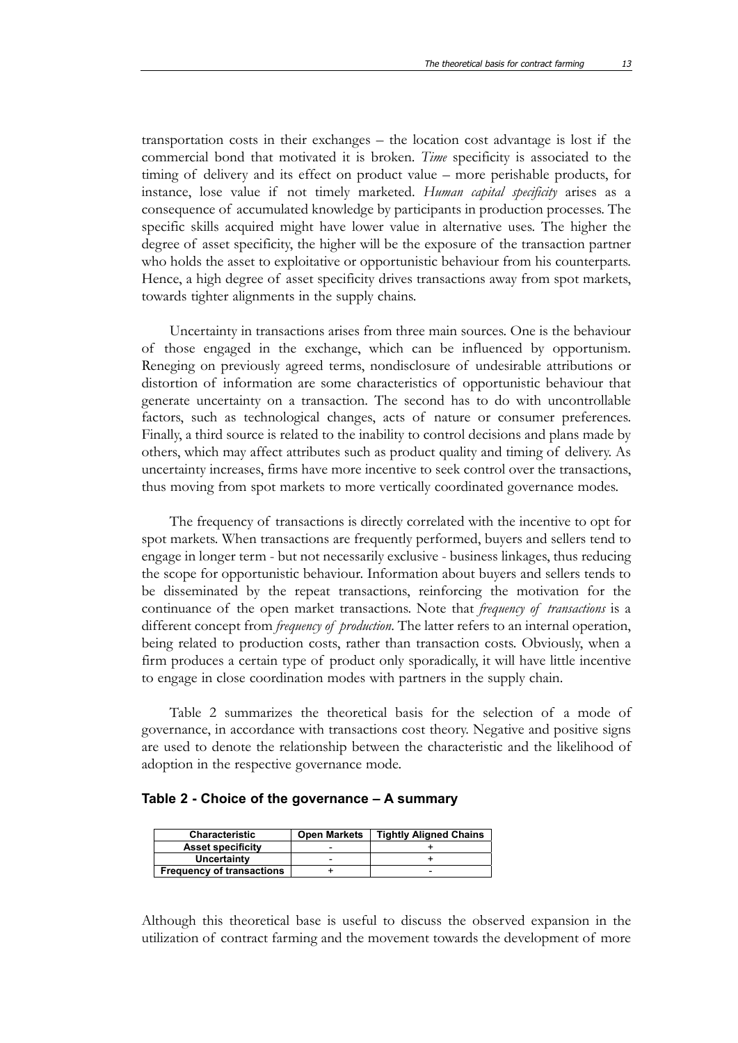transportation costs in their exchanges – the location cost advantage is lost if the commercial bond that motivated it is broken. *Time* specificity is associated to the timing of delivery and its effect on product value – more perishable products, for instance, lose value if not timely marketed. *Human capital specificity* arises as a consequence of accumulated knowledge by participants in production processes. The specific skills acquired might have lower value in alternative uses. The higher the degree of asset specificity, the higher will be the exposure of the transaction partner who holds the asset to exploitative or opportunistic behaviour from his counterparts. Hence, a high degree of asset specificity drives transactions away from spot markets, towards tighter alignments in the supply chains.

Uncertainty in transactions arises from three main sources. One is the behaviour of those engaged in the exchange, which can be influenced by opportunism. Reneging on previously agreed terms, nondisclosure of undesirable attributions or distortion of information are some characteristics of opportunistic behaviour that generate uncertainty on a transaction. The second has to do with uncontrollable factors, such as technological changes, acts of nature or consumer preferences. Finally, a third source is related to the inability to control decisions and plans made by others, which may affect attributes such as product quality and timing of delivery. As uncertainty increases, firms have more incentive to seek control over the transactions, thus moving from spot markets to more vertically coordinated governance modes.

The frequency of transactions is directly correlated with the incentive to opt for spot markets. When transactions are frequently performed, buyers and sellers tend to engage in longer term - but not necessarily exclusive - business linkages, thus reducing the scope for opportunistic behaviour. Information about buyers and sellers tends to be disseminated by the repeat transactions, reinforcing the motivation for the continuance of the open market transactions. Note that *frequency of transactions* is a different concept from *frequency of production*. The latter refers to an internal operation, being related to production costs, rather than transaction costs. Obviously, when a firm produces a certain type of product only sporadically, it will have little incentive to engage in close coordination modes with partners in the supply chain.

Table 2 summarizes the theoretical basis for the selection of a mode of governance, in accordance with transactions cost theory. Negative and positive signs are used to denote the relationship between the characteristic and the likelihood of adoption in the respective governance mode.

#### **Table 2 - Choice of the governance – A summary**

| <b>Characteristic</b>            | <b>Open Markets</b> | <b>Tightly Aligned Chains</b> |
|----------------------------------|---------------------|-------------------------------|
| <b>Asset specificity</b>         |                     |                               |
| Uncertainty                      |                     |                               |
| <b>Frequency of transactions</b> |                     | -                             |

Although this theoretical base is useful to discuss the observed expansion in the utilization of contract farming and the movement towards the development of more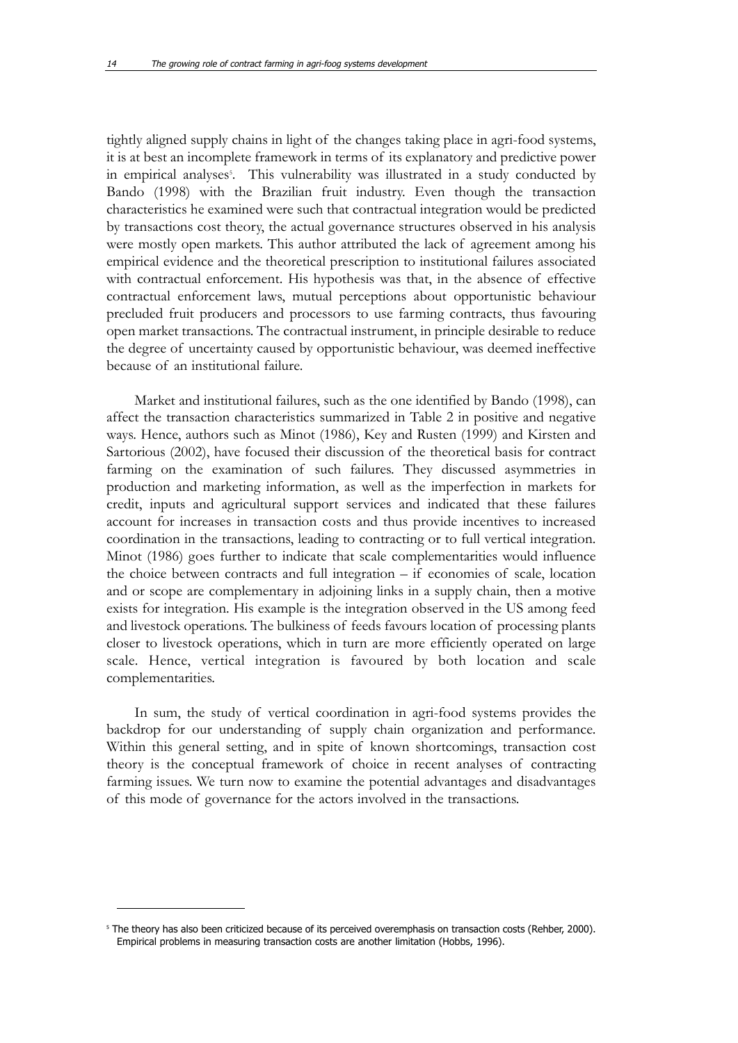tightly aligned supply chains in light of the changes taking place in agri-food systems, it is at best an incomplete framework in terms of its explanatory and predictive power in empirical analyses<sup>5</sup>. This vulnerability was illustrated in a study conducted by Bando (1998) with the Brazilian fruit industry. Even though the transaction characteristics he examined were such that contractual integration would be predicted by transactions cost theory, the actual governance structures observed in his analysis were mostly open markets. This author attributed the lack of agreement among his empirical evidence and the theoretical prescription to institutional failures associated with contractual enforcement. His hypothesis was that, in the absence of effective contractual enforcement laws, mutual perceptions about opportunistic behaviour precluded fruit producers and processors to use farming contracts, thus favouring open market transactions. The contractual instrument, in principle desirable to reduce the degree of uncertainty caused by opportunistic behaviour, was deemed ineffective because of an institutional failure.

Market and institutional failures, such as the one identified by Bando (1998), can affect the transaction characteristics summarized in Table 2 in positive and negative ways. Hence, authors such as Minot (1986), Key and Rusten (1999) and Kirsten and Sartorious (2002), have focused their discussion of the theoretical basis for contract farming on the examination of such failures. They discussed asymmetries in production and marketing information, as well as the imperfection in markets for credit, inputs and agricultural support services and indicated that these failures account for increases in transaction costs and thus provide incentives to increased coordination in the transactions, leading to contracting or to full vertical integration. Minot (1986) goes further to indicate that scale complementarities would influence the choice between contracts and full integration – if economies of scale, location and or scope are complementary in adjoining links in a supply chain, then a motive exists for integration. His example is the integration observed in the US among feed and livestock operations. The bulkiness of feeds favours location of processing plants closer to livestock operations, which in turn are more efficiently operated on large scale. Hence, vertical integration is favoured by both location and scale complementarities.

In sum, the study of vertical coordination in agri-food systems provides the backdrop for our understanding of supply chain organization and performance. Within this general setting, and in spite of known shortcomings, transaction cost theory is the conceptual framework of choice in recent analyses of contracting farming issues. We turn now to examine the potential advantages and disadvantages of this mode of governance for the actors involved in the transactions.

<sup>&</sup>lt;sup>5</sup> The theory has also been criticized because of its perceived overemphasis on transaction costs (Rehber, 2000). Empirical problems in measuring transaction costs are another limitation (Hobbs, 1996).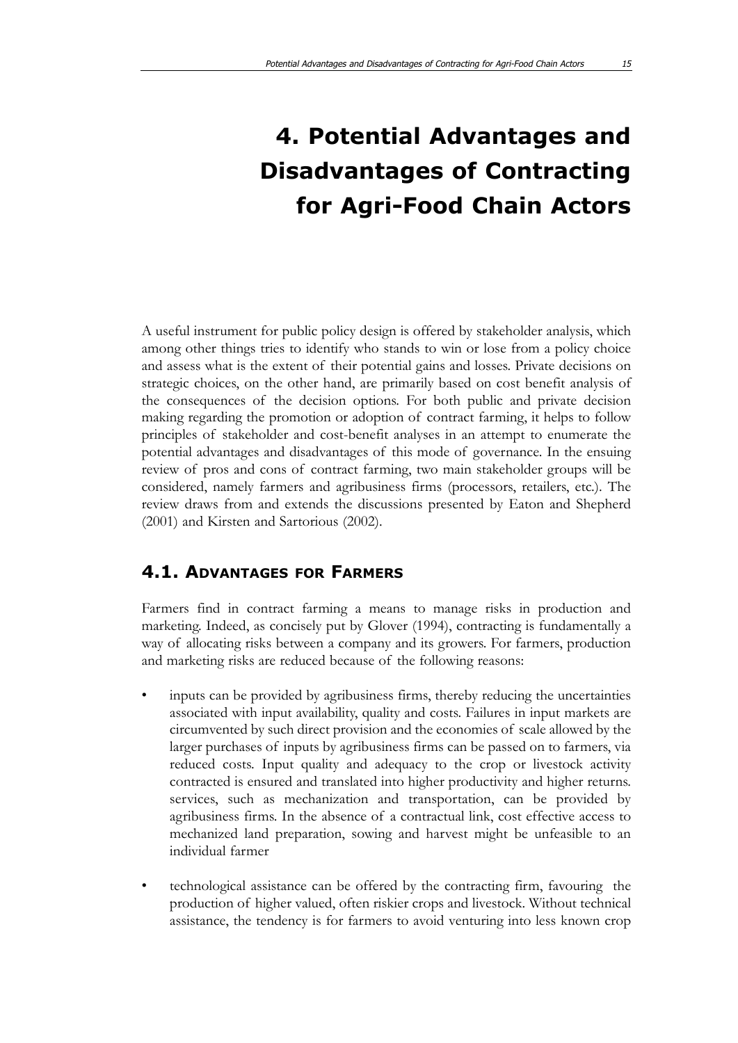# **4. Potential Advantages and Disadvantages of Contracting for Agri-Food Chain Actors**

A useful instrument for public policy design is offered by stakeholder analysis, which among other things tries to identify who stands to win or lose from a policy choice and assess what is the extent of their potential gains and losses. Private decisions on strategic choices, on the other hand, are primarily based on cost benefit analysis of the consequences of the decision options. For both public and private decision making regarding the promotion or adoption of contract farming, it helps to follow principles of stakeholder and cost-benefit analyses in an attempt to enumerate the potential advantages and disadvantages of this mode of governance. In the ensuing review of pros and cons of contract farming, two main stakeholder groups will be considered, namely farmers and agribusiness firms (processors, retailers, etc.). The review draws from and extends the discussions presented by Eaton and Shepherd (2001) and Kirsten and Sartorious (2002).

### **4.1. ADVANTAGES FOR FARMERS**

Farmers find in contract farming a means to manage risks in production and marketing. Indeed, as concisely put by Glover (1994), contracting is fundamentally a way of allocating risks between a company and its growers. For farmers, production and marketing risks are reduced because of the following reasons:

- inputs can be provided by agribusiness firms, thereby reducing the uncertainties associated with input availability, quality and costs. Failures in input markets are circumvented by such direct provision and the economies of scale allowed by the larger purchases of inputs by agribusiness firms can be passed on to farmers, via reduced costs. Input quality and adequacy to the crop or livestock activity contracted is ensured and translated into higher productivity and higher returns. services, such as mechanization and transportation, can be provided by agribusiness firms. In the absence of a contractual link, cost effective access to mechanized land preparation, sowing and harvest might be unfeasible to an individual farmer
- technological assistance can be offered by the contracting firm, favouring the production of higher valued, often riskier crops and livestock. Without technical assistance, the tendency is for farmers to avoid venturing into less known crop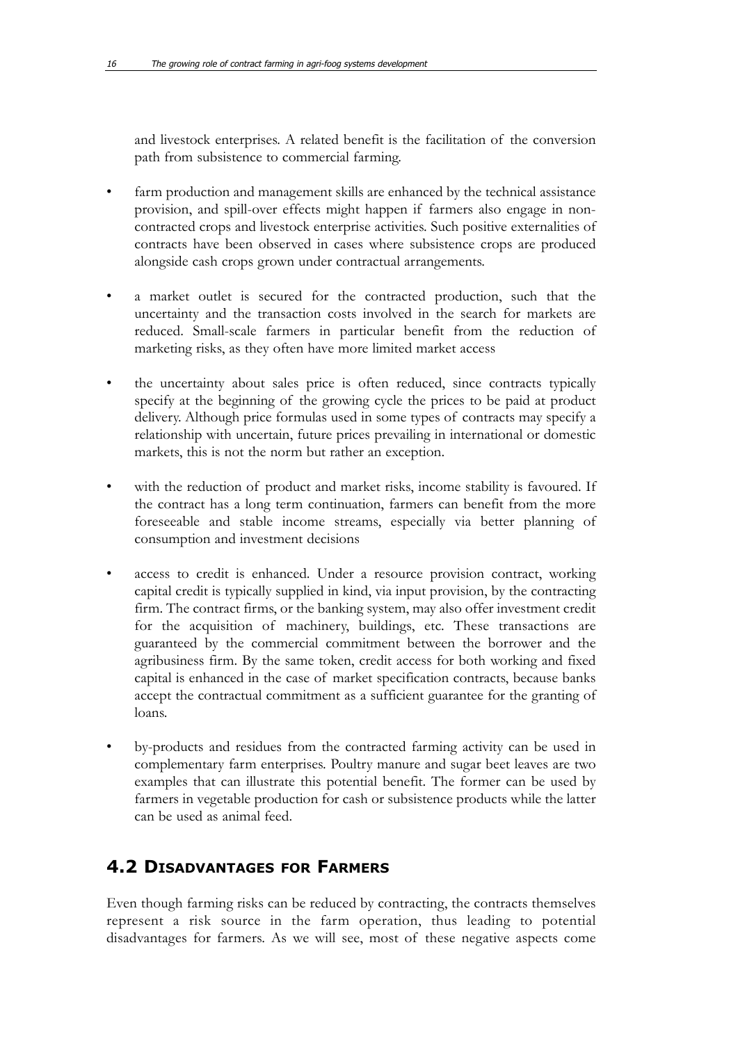and livestock enterprises. A related benefit is the facilitation of the conversion path from subsistence to commercial farming.

- farm production and management skills are enhanced by the technical assistance provision, and spill-over effects might happen if farmers also engage in noncontracted crops and livestock enterprise activities. Such positive externalities of contracts have been observed in cases where subsistence crops are produced alongside cash crops grown under contractual arrangements.
- a market outlet is secured for the contracted production, such that the uncertainty and the transaction costs involved in the search for markets are reduced. Small-scale farmers in particular benefit from the reduction of marketing risks, as they often have more limited market access
- the uncertainty about sales price is often reduced, since contracts typically specify at the beginning of the growing cycle the prices to be paid at product delivery. Although price formulas used in some types of contracts may specify a relationship with uncertain, future prices prevailing in international or domestic markets, this is not the norm but rather an exception.
- with the reduction of product and market risks, income stability is favoured. If the contract has a long term continuation, farmers can benefit from the more foreseeable and stable income streams, especially via better planning of consumption and investment decisions
- access to credit is enhanced. Under a resource provision contract, working capital credit is typically supplied in kind, via input provision, by the contracting firm. The contract firms, or the banking system, may also offer investment credit for the acquisition of machinery, buildings, etc. These transactions are guaranteed by the commercial commitment between the borrower and the agribusiness firm. By the same token, credit access for both working and fixed capital is enhanced in the case of market specification contracts, because banks accept the contractual commitment as a sufficient guarantee for the granting of loans.
- by-products and residues from the contracted farming activity can be used in complementary farm enterprises. Poultry manure and sugar beet leaves are two examples that can illustrate this potential benefit. The former can be used by farmers in vegetable production for cash or subsistence products while the latter can be used as animal feed.

### **4.2 DISADVANTAGES FOR FARMERS**

Even though farming risks can be reduced by contracting, the contracts themselves represent a risk source in the farm operation, thus leading to potential disadvantages for farmers. As we will see, most of these negative aspects come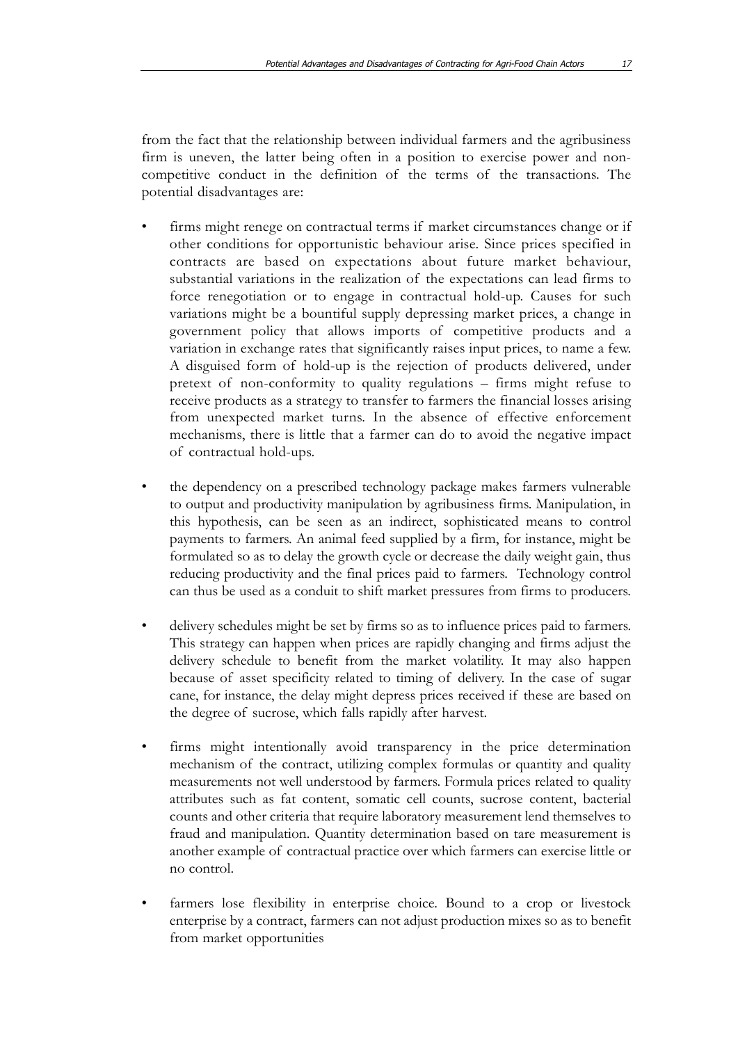from the fact that the relationship between individual farmers and the agribusiness firm is uneven, the latter being often in a position to exercise power and noncompetitive conduct in the definition of the terms of the transactions. The potential disadvantages are:

- firms might renege on contractual terms if market circumstances change or if other conditions for opportunistic behaviour arise. Since prices specified in contracts are based on expectations about future market behaviour, substantial variations in the realization of the expectations can lead firms to force renegotiation or to engage in contractual hold-up. Causes for such variations might be a bountiful supply depressing market prices, a change in government policy that allows imports of competitive products and a variation in exchange rates that significantly raises input prices, to name a few. A disguised form of hold-up is the rejection of products delivered, under pretext of non-conformity to quality regulations – firms might refuse to receive products as a strategy to transfer to farmers the financial losses arising from unexpected market turns. In the absence of effective enforcement mechanisms, there is little that a farmer can do to avoid the negative impact of contractual hold-ups.
- the dependency on a prescribed technology package makes farmers vulnerable to output and productivity manipulation by agribusiness firms. Manipulation, in this hypothesis, can be seen as an indirect, sophisticated means to control payments to farmers. An animal feed supplied by a firm, for instance, might be formulated so as to delay the growth cycle or decrease the daily weight gain, thus reducing productivity and the final prices paid to farmers. Technology control can thus be used as a conduit to shift market pressures from firms to producers.
- delivery schedules might be set by firms so as to influence prices paid to farmers. This strategy can happen when prices are rapidly changing and firms adjust the delivery schedule to benefit from the market volatility. It may also happen because of asset specificity related to timing of delivery. In the case of sugar cane, for instance, the delay might depress prices received if these are based on the degree of sucrose, which falls rapidly after harvest.
- firms might intentionally avoid transparency in the price determination mechanism of the contract, utilizing complex formulas or quantity and quality measurements not well understood by farmers. Formula prices related to quality attributes such as fat content, somatic cell counts, sucrose content, bacterial counts and other criteria that require laboratory measurement lend themselves to fraud and manipulation. Quantity determination based on tare measurement is another example of contractual practice over which farmers can exercise little or no control.
- farmers lose flexibility in enterprise choice. Bound to a crop or livestock enterprise by a contract, farmers can not adjust production mixes so as to benefit from market opportunities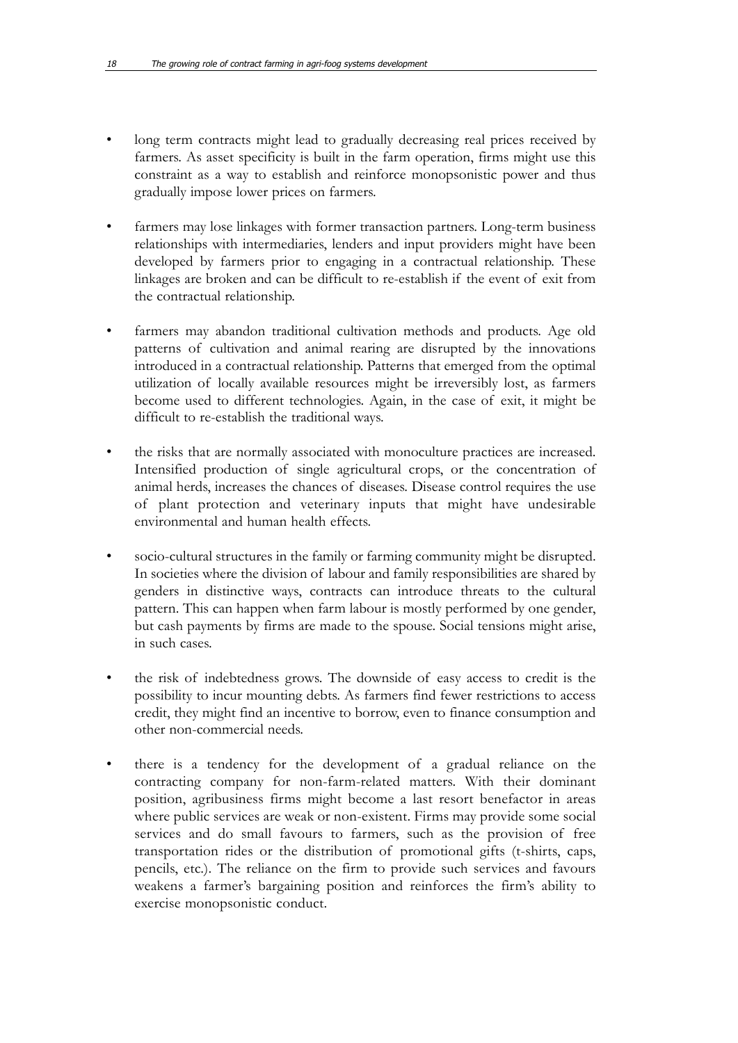- long term contracts might lead to gradually decreasing real prices received by farmers. As asset specificity is built in the farm operation, firms might use this constraint as a way to establish and reinforce monopsonistic power and thus gradually impose lower prices on farmers.
- farmers may lose linkages with former transaction partners. Long-term business relationships with intermediaries, lenders and input providers might have been developed by farmers prior to engaging in a contractual relationship. These linkages are broken and can be difficult to re-establish if the event of exit from the contractual relationship.
- farmers may abandon traditional cultivation methods and products. Age old patterns of cultivation and animal rearing are disrupted by the innovations introduced in a contractual relationship. Patterns that emerged from the optimal utilization of locally available resources might be irreversibly lost, as farmers become used to different technologies. Again, in the case of exit, it might be difficult to re-establish the traditional ways.
- the risks that are normally associated with monoculture practices are increased. Intensified production of single agricultural crops, or the concentration of animal herds, increases the chances of diseases. Disease control requires the use of plant protection and veterinary inputs that might have undesirable environmental and human health effects.
- socio-cultural structures in the family or farming community might be disrupted. In societies where the division of labour and family responsibilities are shared by genders in distinctive ways, contracts can introduce threats to the cultural pattern. This can happen when farm labour is mostly performed by one gender, but cash payments by firms are made to the spouse. Social tensions might arise, in such cases.
- the risk of indebtedness grows. The downside of easy access to credit is the possibility to incur mounting debts. As farmers find fewer restrictions to access credit, they might find an incentive to borrow, even to finance consumption and other non-commercial needs.
- there is a tendency for the development of a gradual reliance on the contracting company for non-farm-related matters. With their dominant position, agribusiness firms might become a last resort benefactor in areas where public services are weak or non-existent. Firms may provide some social services and do small favours to farmers, such as the provision of free transportation rides or the distribution of promotional gifts (t-shirts, caps, pencils, etc.). The reliance on the firm to provide such services and favours weakens a farmer's bargaining position and reinforces the firm's ability to exercise monopsonistic conduct.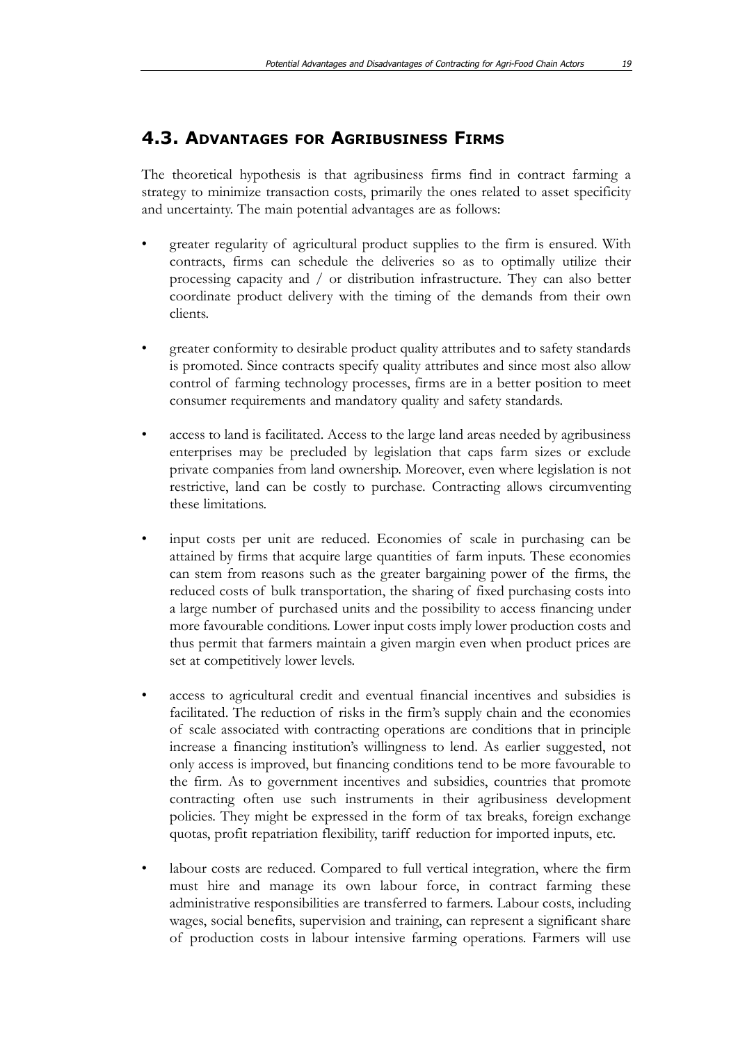### **4.3. ADVANTAGES FOR AGRIBUSINESS FIRMS**

The theoretical hypothesis is that agribusiness firms find in contract farming a strategy to minimize transaction costs, primarily the ones related to asset specificity and uncertainty. The main potential advantages are as follows:

- greater regularity of agricultural product supplies to the firm is ensured. With contracts, firms can schedule the deliveries so as to optimally utilize their processing capacity and / or distribution infrastructure. They can also better coordinate product delivery with the timing of the demands from their own clients.
- greater conformity to desirable product quality attributes and to safety standards is promoted. Since contracts specify quality attributes and since most also allow control of farming technology processes, firms are in a better position to meet consumer requirements and mandatory quality and safety standards.
- access to land is facilitated. Access to the large land areas needed by agribusiness enterprises may be precluded by legislation that caps farm sizes or exclude private companies from land ownership. Moreover, even where legislation is not restrictive, land can be costly to purchase. Contracting allows circumventing these limitations.
- input costs per unit are reduced. Economies of scale in purchasing can be attained by firms that acquire large quantities of farm inputs. These economies can stem from reasons such as the greater bargaining power of the firms, the reduced costs of bulk transportation, the sharing of fixed purchasing costs into a large number of purchased units and the possibility to access financing under more favourable conditions. Lower input costs imply lower production costs and thus permit that farmers maintain a given margin even when product prices are set at competitively lower levels.
- access to agricultural credit and eventual financial incentives and subsidies is facilitated. The reduction of risks in the firm's supply chain and the economies of scale associated with contracting operations are conditions that in principle increase a financing institution's willingness to lend. As earlier suggested, not only access is improved, but financing conditions tend to be more favourable to the firm. As to government incentives and subsidies, countries that promote contracting often use such instruments in their agribusiness development policies. They might be expressed in the form of tax breaks, foreign exchange quotas, profit repatriation flexibility, tariff reduction for imported inputs, etc.
- labour costs are reduced. Compared to full vertical integration, where the firm must hire and manage its own labour force, in contract farming these administrative responsibilities are transferred to farmers. Labour costs, including wages, social benefits, supervision and training, can represent a significant share of production costs in labour intensive farming operations. Farmers will use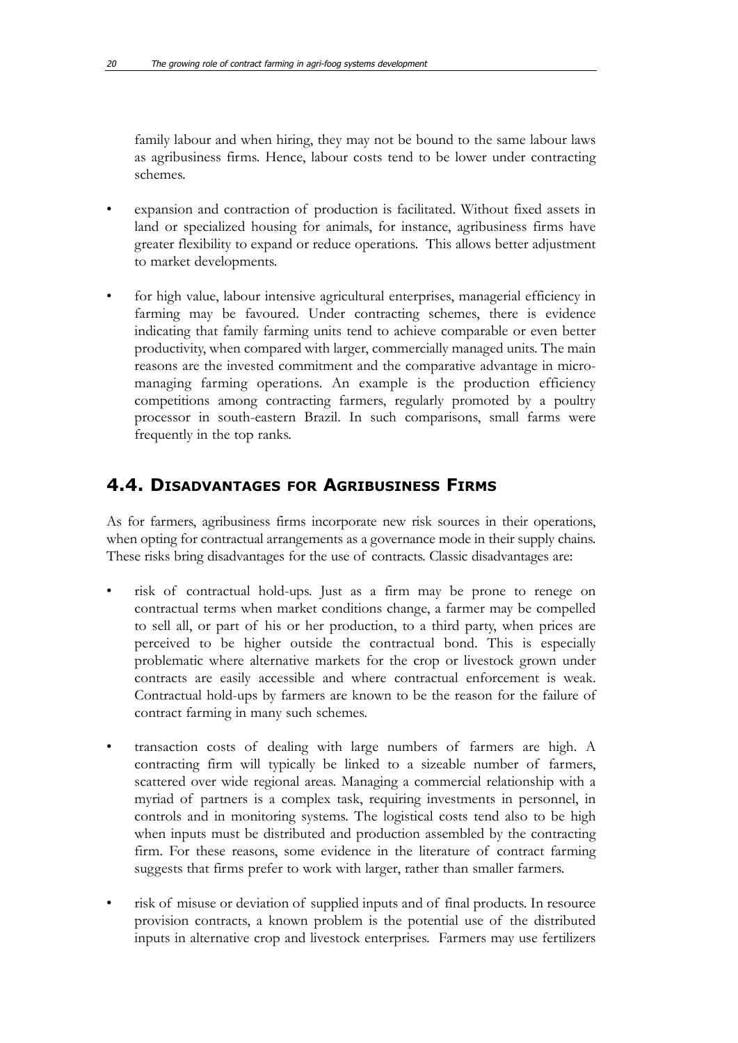family labour and when hiring, they may not be bound to the same labour laws as agribusiness firms. Hence, labour costs tend to be lower under contracting schemes.

- expansion and contraction of production is facilitated. Without fixed assets in land or specialized housing for animals, for instance, agribusiness firms have greater flexibility to expand or reduce operations. This allows better adjustment to market developments.
- for high value, labour intensive agricultural enterprises, managerial efficiency in farming may be favoured. Under contracting schemes, there is evidence indicating that family farming units tend to achieve comparable or even better productivity, when compared with larger, commercially managed units. The main reasons are the invested commitment and the comparative advantage in micromanaging farming operations. An example is the production efficiency competitions among contracting farmers, regularly promoted by a poultry processor in south-eastern Brazil. In such comparisons, small farms were frequently in the top ranks.

### **4.4. DISADVANTAGES FOR AGRIBUSINESS FIRMS**

As for farmers, agribusiness firms incorporate new risk sources in their operations, when opting for contractual arrangements as a governance mode in their supply chains. These risks bring disadvantages for the use of contracts. Classic disadvantages are:

- risk of contractual hold-ups. Just as a firm may be prone to renege on contractual terms when market conditions change, a farmer may be compelled to sell all, or part of his or her production, to a third party, when prices are perceived to be higher outside the contractual bond. This is especially problematic where alternative markets for the crop or livestock grown under contracts are easily accessible and where contractual enforcement is weak. Contractual hold-ups by farmers are known to be the reason for the failure of contract farming in many such schemes.
- transaction costs of dealing with large numbers of farmers are high. A contracting firm will typically be linked to a sizeable number of farmers, scattered over wide regional areas. Managing a commercial relationship with a myriad of partners is a complex task, requiring investments in personnel, in controls and in monitoring systems. The logistical costs tend also to be high when inputs must be distributed and production assembled by the contracting firm. For these reasons, some evidence in the literature of contract farming suggests that firms prefer to work with larger, rather than smaller farmers.
- risk of misuse or deviation of supplied inputs and of final products. In resource provision contracts, a known problem is the potential use of the distributed inputs in alternative crop and livestock enterprises. Farmers may use fertilizers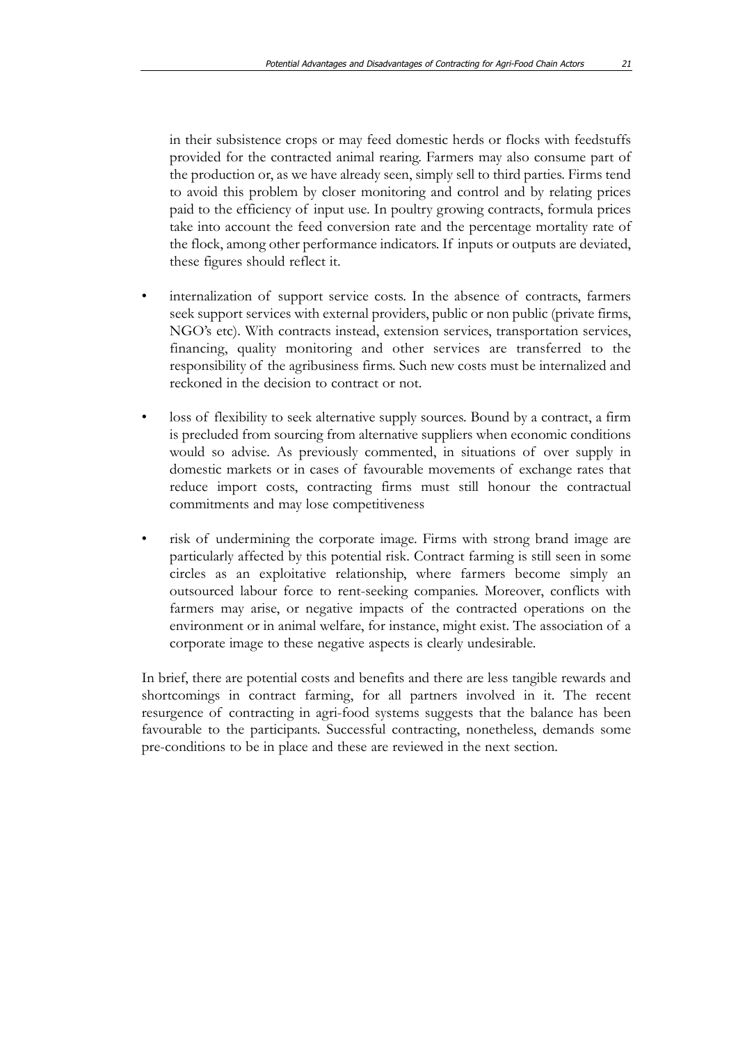in their subsistence crops or may feed domestic herds or flocks with feedstuffs provided for the contracted animal rearing. Farmers may also consume part of the production or, as we have already seen, simply sell to third parties. Firms tend to avoid this problem by closer monitoring and control and by relating prices paid to the efficiency of input use. In poultry growing contracts, formula prices take into account the feed conversion rate and the percentage mortality rate of the flock, among other performance indicators. If inputs or outputs are deviated, these figures should reflect it.

- internalization of support service costs. In the absence of contracts, farmers seek support services with external providers, public or non public (private firms, NGO's etc). With contracts instead, extension services, transportation services, financing, quality monitoring and other services are transferred to the responsibility of the agribusiness firms. Such new costs must be internalized and reckoned in the decision to contract or not.
- loss of flexibility to seek alternative supply sources. Bound by a contract, a firm is precluded from sourcing from alternative suppliers when economic conditions would so advise. As previously commented, in situations of over supply in domestic markets or in cases of favourable movements of exchange rates that reduce import costs, contracting firms must still honour the contractual commitments and may lose competitiveness
- risk of undermining the corporate image. Firms with strong brand image are particularly affected by this potential risk. Contract farming is still seen in some circles as an exploitative relationship, where farmers become simply an outsourced labour force to rent-seeking companies. Moreover, conflicts with farmers may arise, or negative impacts of the contracted operations on the environment or in animal welfare, for instance, might exist. The association of a corporate image to these negative aspects is clearly undesirable.

In brief, there are potential costs and benefits and there are less tangible rewards and shortcomings in contract farming, for all partners involved in it. The recent resurgence of contracting in agri-food systems suggests that the balance has been favourable to the participants. Successful contracting, nonetheless, demands some pre-conditions to be in place and these are reviewed in the next section.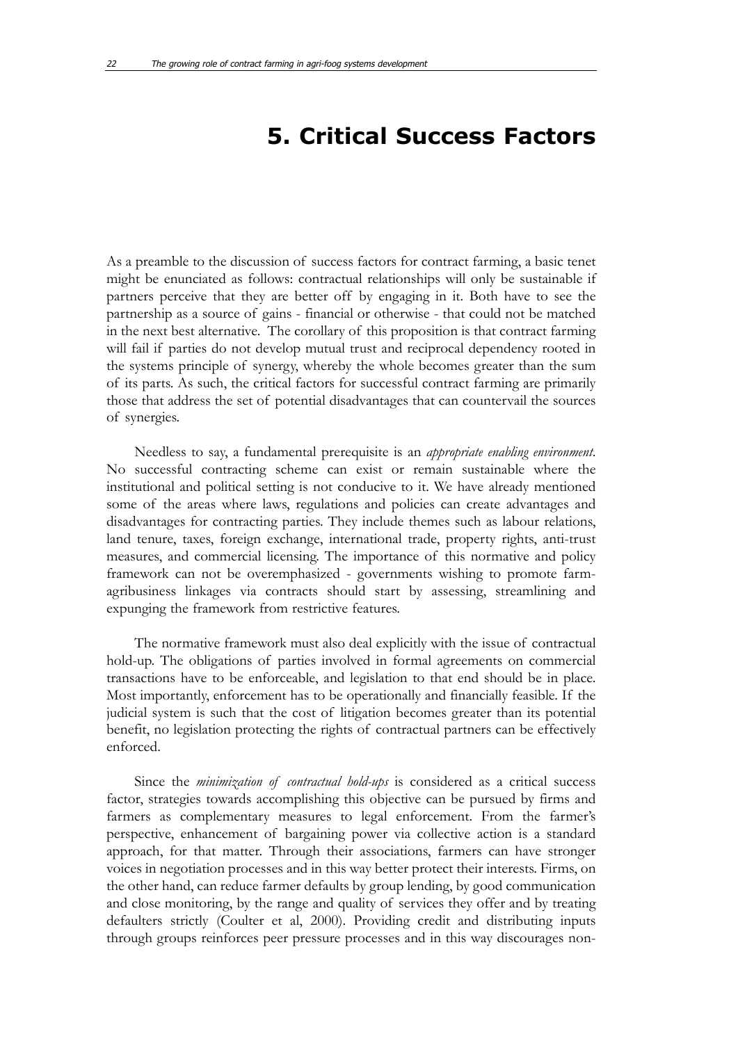## **5. Critical Success Factors**

As a preamble to the discussion of success factors for contract farming, a basic tenet might be enunciated as follows: contractual relationships will only be sustainable if partners perceive that they are better off by engaging in it. Both have to see the partnership as a source of gains - financial or otherwise - that could not be matched in the next best alternative. The corollary of this proposition is that contract farming will fail if parties do not develop mutual trust and reciprocal dependency rooted in the systems principle of synergy, whereby the whole becomes greater than the sum of its parts. As such, the critical factors for successful contract farming are primarily those that address the set of potential disadvantages that can countervail the sources of synergies.

Needless to say, a fundamental prerequisite is an *appropriate enabling environment*. No successful contracting scheme can exist or remain sustainable where the institutional and political setting is not conducive to it. We have already mentioned some of the areas where laws, regulations and policies can create advantages and disadvantages for contracting parties. They include themes such as labour relations, land tenure, taxes, foreign exchange, international trade, property rights, anti-trust measures, and commercial licensing. The importance of this normative and policy framework can not be overemphasized - governments wishing to promote farmagribusiness linkages via contracts should start by assessing, streamlining and expunging the framework from restrictive features.

The normative framework must also deal explicitly with the issue of contractual hold-up. The obligations of parties involved in formal agreements on commercial transactions have to be enforceable, and legislation to that end should be in place. Most importantly, enforcement has to be operationally and financially feasible. If the judicial system is such that the cost of litigation becomes greater than its potential benefit, no legislation protecting the rights of contractual partners can be effectively enforced.

Since the *minimization of contractual hold-ups* is considered as a critical success factor, strategies towards accomplishing this objective can be pursued by firms and farmers as complementary measures to legal enforcement. From the farmer's perspective, enhancement of bargaining power via collective action is a standard approach, for that matter. Through their associations, farmers can have stronger voices in negotiation processes and in this way better protect their interests. Firms, on the other hand, can reduce farmer defaults by group lending, by good communication and close monitoring, by the range and quality of services they offer and by treating defaulters strictly (Coulter et al, 2000). Providing credit and distributing inputs through groups reinforces peer pressure processes and in this way discourages non-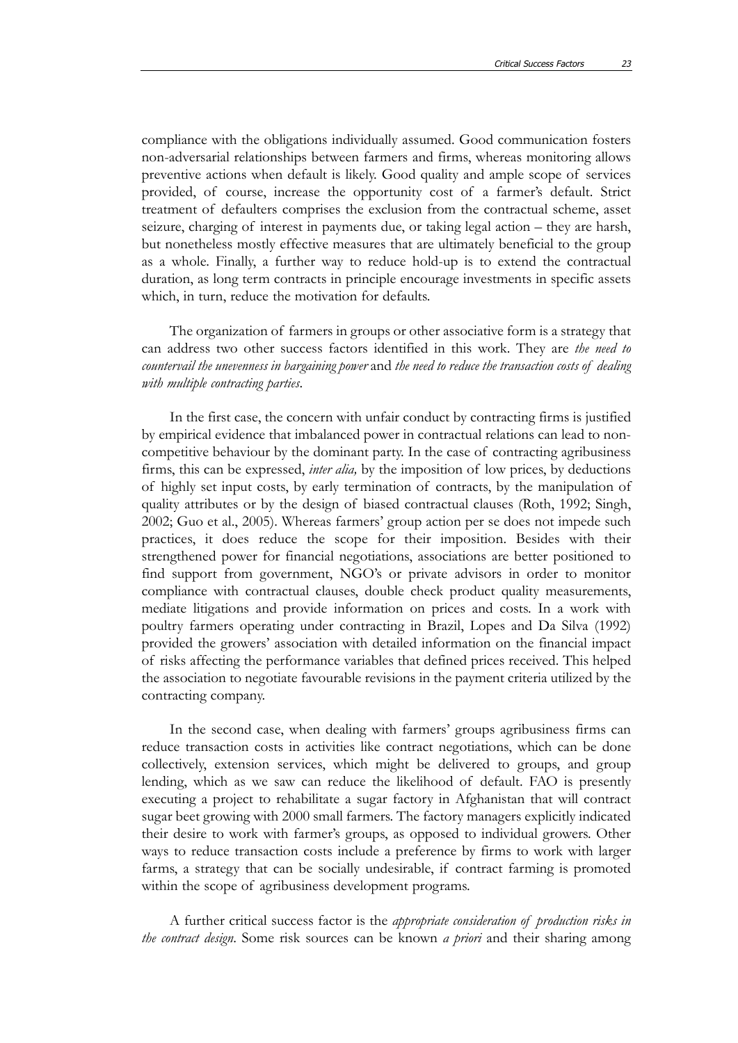compliance with the obligations individually assumed. Good communication fosters non-adversarial relationships between farmers and firms, whereas monitoring allows preventive actions when default is likely. Good quality and ample scope of services provided, of course, increase the opportunity cost of a farmer's default. Strict treatment of defaulters comprises the exclusion from the contractual scheme, asset seizure, charging of interest in payments due, or taking legal action – they are harsh, but nonetheless mostly effective measures that are ultimately beneficial to the group as a whole. Finally, a further way to reduce hold-up is to extend the contractual duration, as long term contracts in principle encourage investments in specific assets which, in turn, reduce the motivation for defaults.

The organization of farmers in groups or other associative form is a strategy that can address two other success factors identified in this work. They are *the need to countervail the unevenness in bargaining power* and *the need to reduce the transaction costs of dealing with multiple contracting parties*.

In the first case, the concern with unfair conduct by contracting firms is justified by empirical evidence that imbalanced power in contractual relations can lead to noncompetitive behaviour by the dominant party. In the case of contracting agribusiness firms, this can be expressed, *inter alia,* by the imposition of low prices, by deductions of highly set input costs, by early termination of contracts, by the manipulation of quality attributes or by the design of biased contractual clauses (Roth, 1992; Singh, 2002; Guo et al., 2005). Whereas farmers' group action per se does not impede such practices, it does reduce the scope for their imposition. Besides with their strengthened power for financial negotiations, associations are better positioned to find support from government, NGO's or private advisors in order to monitor compliance with contractual clauses, double check product quality measurements, mediate litigations and provide information on prices and costs. In a work with poultry farmers operating under contracting in Brazil, Lopes and Da Silva (1992) provided the growers' association with detailed information on the financial impact of risks affecting the performance variables that defined prices received. This helped the association to negotiate favourable revisions in the payment criteria utilized by the contracting company.

In the second case, when dealing with farmers' groups agribusiness firms can reduce transaction costs in activities like contract negotiations, which can be done collectively, extension services, which might be delivered to groups, and group lending, which as we saw can reduce the likelihood of default. FAO is presently executing a project to rehabilitate a sugar factory in Afghanistan that will contract sugar beet growing with 2000 small farmers. The factory managers explicitly indicated their desire to work with farmer's groups, as opposed to individual growers. Other ways to reduce transaction costs include a preference by firms to work with larger farms, a strategy that can be socially undesirable, if contract farming is promoted within the scope of agribusiness development programs.

A further critical success factor is the *appropriate consideration of production risks in the contract design*. Some risk sources can be known *a priori* and their sharing among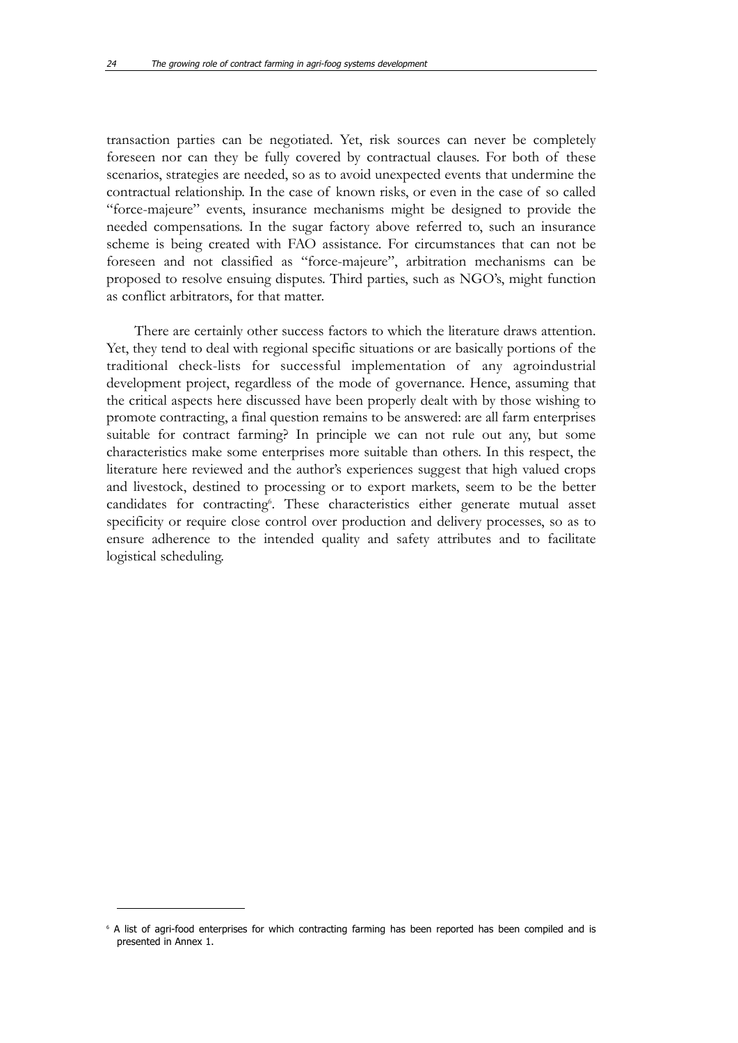transaction parties can be negotiated. Yet, risk sources can never be completely foreseen nor can they be fully covered by contractual clauses. For both of these scenarios, strategies are needed, so as to avoid unexpected events that undermine the contractual relationship. In the case of known risks, or even in the case of so called "force-majeure" events, insurance mechanisms might be designed to provide the needed compensations. In the sugar factory above referred to, such an insurance scheme is being created with FAO assistance. For circumstances that can not be foreseen and not classified as "force-majeure", arbitration mechanisms can be proposed to resolve ensuing disputes. Third parties, such as NGO's, might function as conflict arbitrators, for that matter.

There are certainly other success factors to which the literature draws attention. Yet, they tend to deal with regional specific situations or are basically portions of the traditional check-lists for successful implementation of any agroindustrial development project, regardless of the mode of governance. Hence, assuming that the critical aspects here discussed have been properly dealt with by those wishing to promote contracting, a final question remains to be answered: are all farm enterprises suitable for contract farming? In principle we can not rule out any, but some characteristics make some enterprises more suitable than others. In this respect, the literature here reviewed and the author's experiences suggest that high valued crops and livestock, destined to processing or to export markets, seem to be the better candidates for contracting<sup>6</sup>. These characteristics either generate mutual asset specificity or require close control over production and delivery processes, so as to ensure adherence to the intended quality and safety attributes and to facilitate logistical scheduling.

<sup>&</sup>lt;sup>6</sup> A list of agri-food enterprises for which contracting farming has been reported has been compiled and is presented in Annex 1.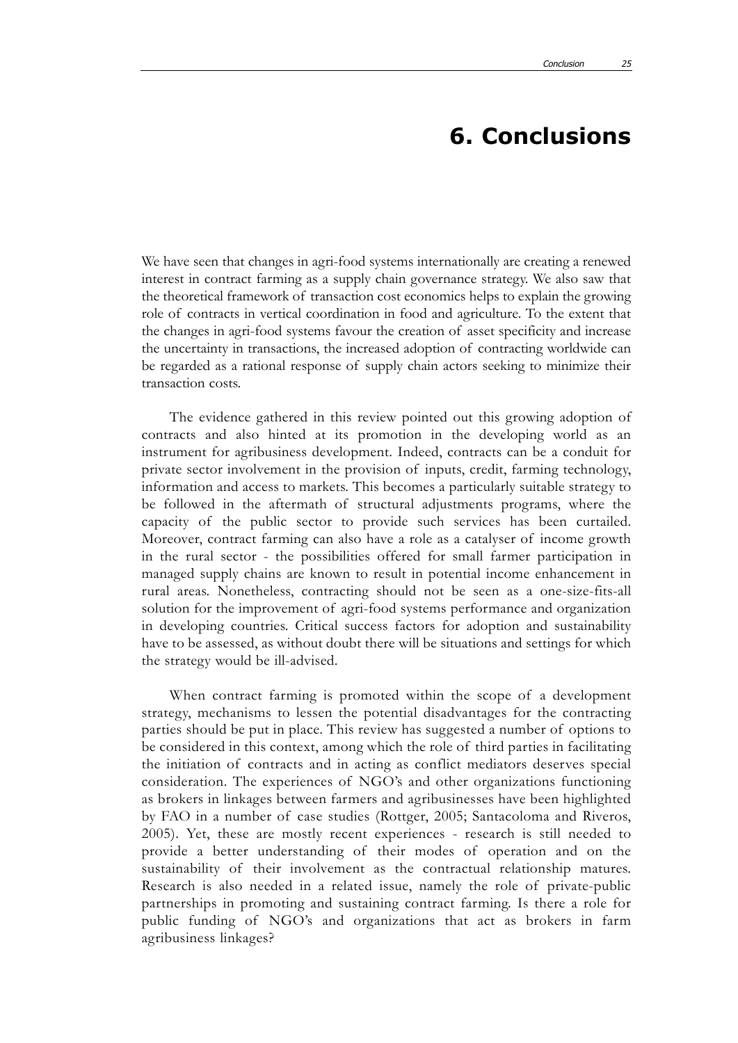## **6. Conclusions**

We have seen that changes in agri-food systems internationally are creating a renewed interest in contract farming as a supply chain governance strategy. We also saw that the theoretical framework of transaction cost economics helps to explain the growing role of contracts in vertical coordination in food and agriculture. To the extent that the changes in agri-food systems favour the creation of asset specificity and increase the uncertainty in transactions, the increased adoption of contracting worldwide can be regarded as a rational response of supply chain actors seeking to minimize their transaction costs.

The evidence gathered in this review pointed out this growing adoption of contracts and also hinted at its promotion in the developing world as an instrument for agribusiness development. Indeed, contracts can be a conduit for private sector involvement in the provision of inputs, credit, farming technology, information and access to markets. This becomes a particularly suitable strategy to be followed in the aftermath of structural adjustments programs, where the capacity of the public sector to provide such services has been curtailed. Moreover, contract farming can also have a role as a catalyser of income growth in the rural sector - the possibilities offered for small farmer participation in managed supply chains are known to result in potential income enhancement in rural areas. Nonetheless, contracting should not be seen as a one-size-fits-all solution for the improvement of agri-food systems performance and organization in developing countries. Critical success factors for adoption and sustainability have to be assessed, as without doubt there will be situations and settings for which the strategy would be ill-advised.

When contract farming is promoted within the scope of a development strategy, mechanisms to lessen the potential disadvantages for the contracting parties should be put in place. This review has suggested a number of options to be considered in this context, among which the role of third parties in facilitating the initiation of contracts and in acting as conflict mediators deserves special consideration. The experiences of NGO's and other organizations functioning as brokers in linkages between farmers and agribusinesses have been highlighted by FAO in a number of case studies (Rottger, 2005; Santacoloma and Riveros, 2005). Yet, these are mostly recent experiences - research is still needed to provide a better understanding of their modes of operation and on the sustainability of their involvement as the contractual relationship matures. Research is also needed in a related issue, namely the role of private-public partnerships in promoting and sustaining contract farming. Is there a role for public funding of NGO's and organizations that act as brokers in farm agribusiness linkages?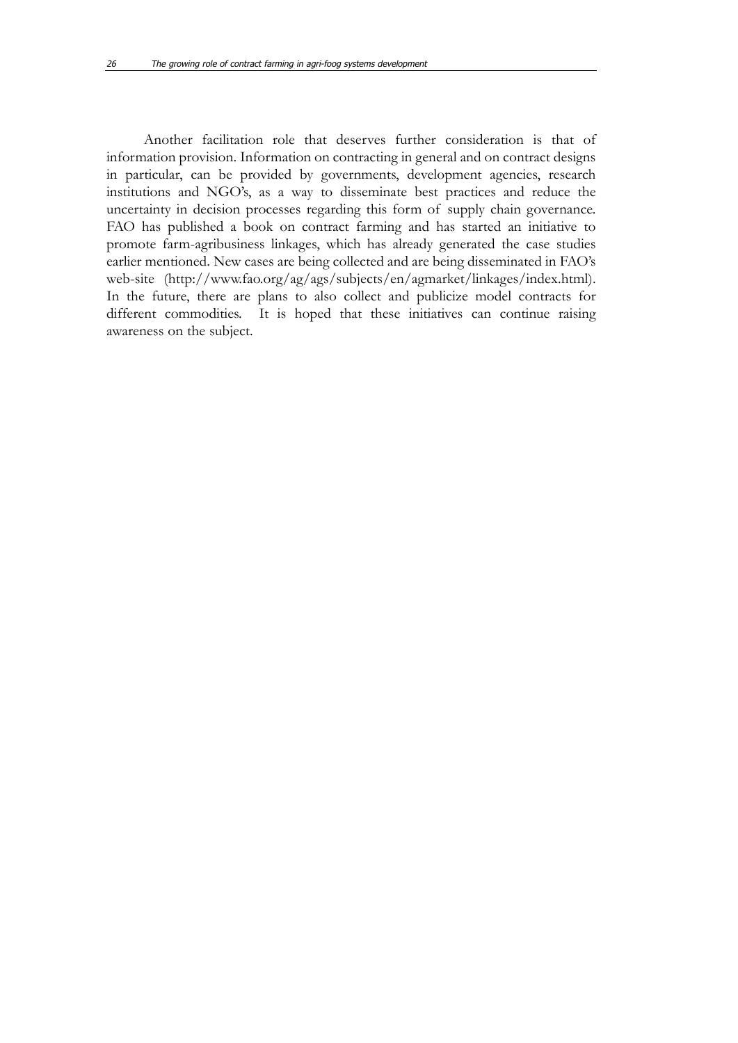Another facilitation role that deserves further consideration is that of information provision. Information on contracting in general and on contract designs in particular, can be provided by governments, development agencies, research institutions and NGO's, as a way to disseminate best practices and reduce the uncertainty in decision processes regarding this form of supply chain governance. FAO has published a book on contract farming and has started an initiative to promote farm-agribusiness linkages, which has already generated the case studies earlier mentioned. New cases are being collected and are being disseminated in FAO's web-site (http://www.fao.org/ag/ags/subjects/en/agmarket/linkages/index.html). In the future, there are plans to also collect and publicize model contracts for different commodities. It is hoped that these initiatives can continue raising awareness on the subject.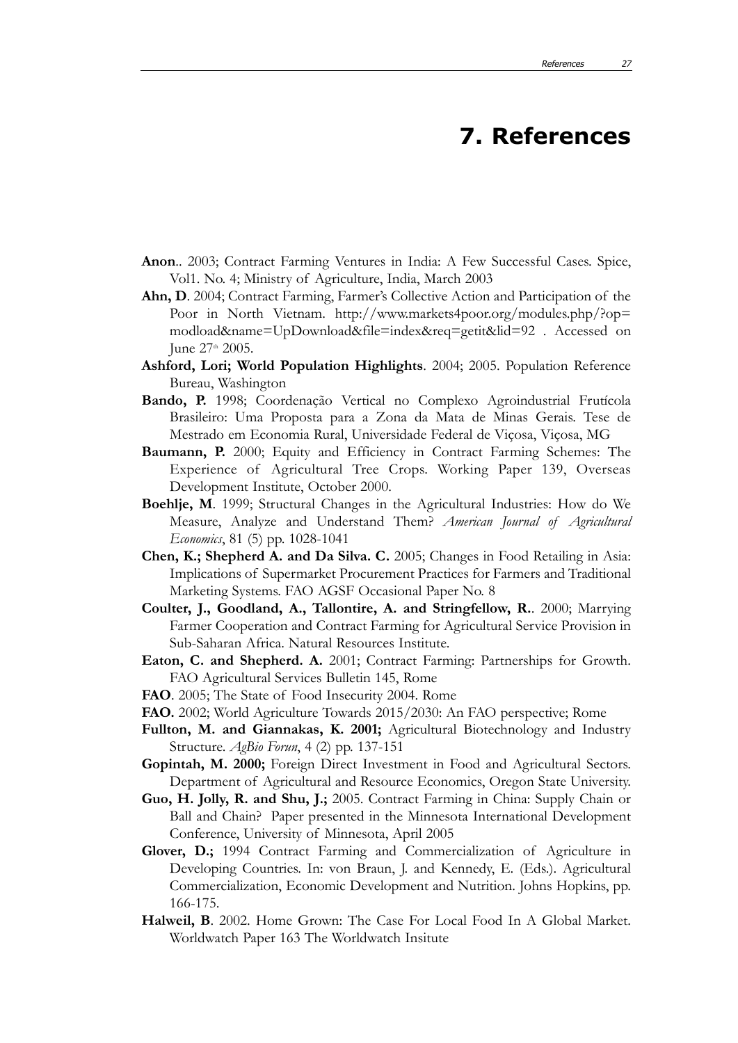## **7. References**

- **Anon**.. 2003; Contract Farming Ventures in India: A Few Successful Cases. Spice, Vol1. No. 4; Ministry of Agriculture, India, March 2003
- **Ahn, D**. 2004; Contract Farming, Farmer's Collective Action and Participation of the Poor in North Vietnam. http://www.markets4poor.org/modules.php/?op= modload&name=UpDownload&file=index&req=getit&lid=92 . Accessed on June 27<sup>th</sup> 2005.
- **Ashford, Lori; World Population Highlights**. 2004; 2005. Population Reference Bureau, Washington
- **Bando, P.** 1998; Coordenação Vertical no Complexo Agroindustrial Frutícola Brasileiro: Uma Proposta para a Zona da Mata de Minas Gerais. Tese de Mestrado em Economia Rural, Universidade Federal de Viçosa, Viçosa, MG
- **Baumann, P.** 2000; Equity and Efficiency in Contract Farming Schemes: The Experience of Agricultural Tree Crops. Working Paper 139, Overseas Development Institute, October 2000.
- **Boehlje, M**. 1999; Structural Changes in the Agricultural Industries: How do We Measure, Analyze and Understand Them? *American Journal of Agricultural Economics*, 81 (5) pp. 1028-1041
- **Chen, K.; Shepherd A. and Da Silva. C.** 2005; Changes in Food Retailing in Asia: Implications of Supermarket Procurement Practices for Farmers and Traditional Marketing Systems. FAO AGSF Occasional Paper No. 8
- **Coulter, J., Goodland, A., Tallontire, A. and Stringfellow, R.**. 2000; Marrying Farmer Cooperation and Contract Farming for Agricultural Service Provision in Sub-Saharan Africa. Natural Resources Institute.
- **Eaton, C. and Shepherd. A.** 2001; Contract Farming: Partnerships for Growth. FAO Agricultural Services Bulletin 145, Rome
- **FAO**. 2005; The State of Food Insecurity 2004. Rome
- **FAO.** 2002; World Agriculture Towards 2015/2030: An FAO perspective; Rome
- **Fullton, M. and Giannakas, K. 2001;** Agricultural Biotechnology and Industry Structure. *AgBio Forun*, 4 (2) pp. 137-151
- **Gopintah, M. 2000;** Foreign Direct Investment in Food and Agricultural Sectors. Department of Agricultural and Resource Economics, Oregon State University.
- **Guo, H. Jolly, R. and Shu, J.;** 2005. Contract Farming in China: Supply Chain or Ball and Chain? Paper presented in the Minnesota International Development Conference, University of Minnesota, April 2005
- **Glover, D.;** 1994 Contract Farming and Commercialization of Agriculture in Developing Countries. In: von Braun, J. and Kennedy, E. (Eds.). Agricultural Commercialization, Economic Development and Nutrition. Johns Hopkins, pp. 166-175.
- **Halweil, B**. 2002. Home Grown: The Case For Local Food In A Global Market. Worldwatch Paper 163 The Worldwatch Insitute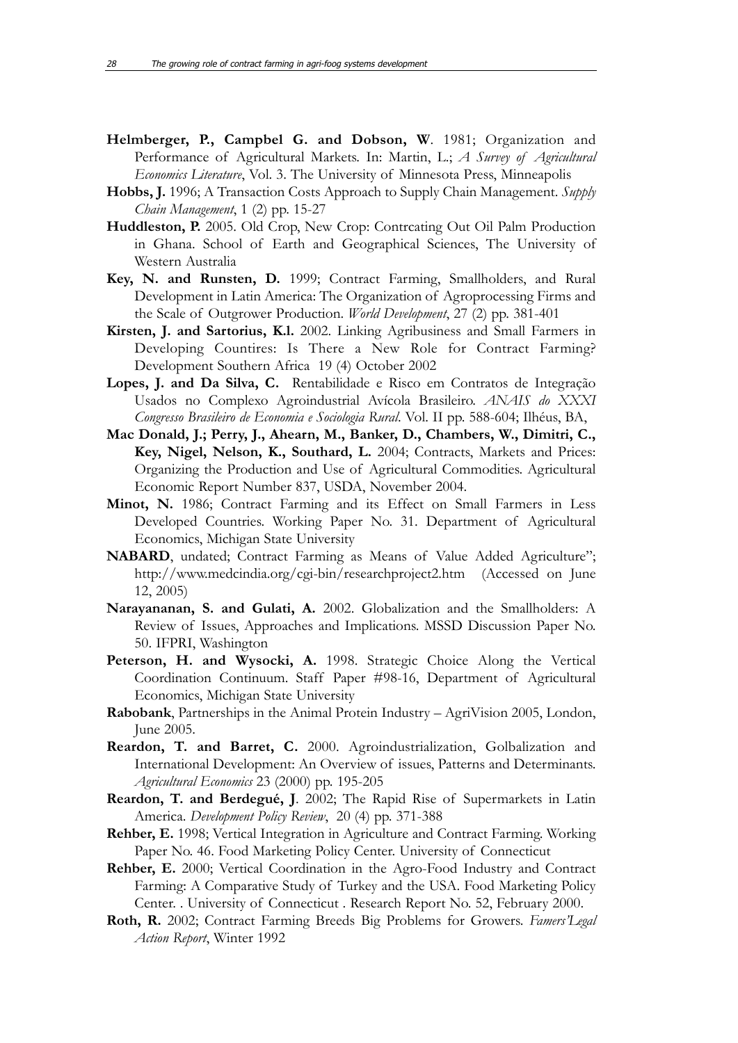- **Helmberger, P., Campbel G. and Dobson, W**. 1981; Organization and Performance of Agricultural Markets. In: Martin, L.; *A Survey of Agricultural Economics Literature*, Vol. 3. The University of Minnesota Press, Minneapolis
- **Hobbs, J.** 1996; A Transaction Costs Approach to Supply Chain Management. *Supply Chain Management*, 1 (2) pp. 15-27
- **Huddleston, P.** 2005. Old Crop, New Crop: Contrcating Out Oil Palm Production in Ghana. School of Earth and Geographical Sciences, The University of Western Australia
- **Key, N. and Runsten, D.** 1999; Contract Farming, Smallholders, and Rural Development in Latin America: The Organization of Agroprocessing Firms and the Scale of Outgrower Production. *World Development*, 27 (2) pp. 381-401
- **Kirsten, J. and Sartorius, K.l.** 2002. Linking Agribusiness and Small Farmers in Developing Countires: Is There a New Role for Contract Farming? Development Southern Africa 19 (4) October 2002
- **Lopes, J. and Da Silva, C.** Rentabilidade e Risco em Contratos de Integração Usados no Complexo Agroindustrial Avícola Brasileiro. *ANAIS do XXXI Congresso Brasileiro de Economia e Sociologia Rural*. Vol. II pp. 588-604; Ilhéus, BA,
- **Mac Donald, J.; Perry, J., Ahearn, M., Banker, D., Chambers, W., Dimitri, C., Key, Nigel, Nelson, K., Southard, L.** 2004; Contracts, Markets and Prices: Organizing the Production and Use of Agricultural Commodities. Agricultural Economic Report Number 837, USDA, November 2004.
- **Minot, N.** 1986; Contract Farming and its Effect on Small Farmers in Less Developed Countries. Working Paper No. 31. Department of Agricultural Economics, Michigan State University
- **NABARD**, undated; Contract Farming as Means of Value Added Agriculture"; http://www.medcindia.org/cgi-bin/researchproject2.htm (Accessed on June 12, 2005)
- **Narayananan, S. and Gulati, A.** 2002. Globalization and the Smallholders: A Review of Issues, Approaches and Implications. MSSD Discussion Paper No. 50. IFPRI, Washington
- Peterson, H. and Wysocki, A. 1998. Strategic Choice Along the Vertical Coordination Continuum. Staff Paper #98-16, Department of Agricultural Economics, Michigan State University
- **Rabobank**, Partnerships in the Animal Protein Industry AgriVision 2005, London, June 2005.
- **Reardon, T. and Barret, C.** 2000. Agroindustrialization, Golbalization and International Development: An Overview of issues, Patterns and Determinants. *Agricultural Economics* 23 (2000) pp. 195-205
- **Reardon, T. and Berdegué, J**. 2002; The Rapid Rise of Supermarkets in Latin America. *Development Policy Review*, 20 (4) pp. 371-388
- **Rehber, E.** 1998; Vertical Integration in Agriculture and Contract Farming. Working Paper No. 46. Food Marketing Policy Center. University of Connecticut
- **Rehber, E.** 2000; Vertical Coordination in the Agro-Food Industry and Contract Farming: A Comparative Study of Turkey and the USA. Food Marketing Policy Center. . University of Connecticut . Research Report No. 52, February 2000.
- **Roth, R.** 2002; Contract Farming Breeds Big Problems for Growers. *Famers'Legal Action Report*, Winter 1992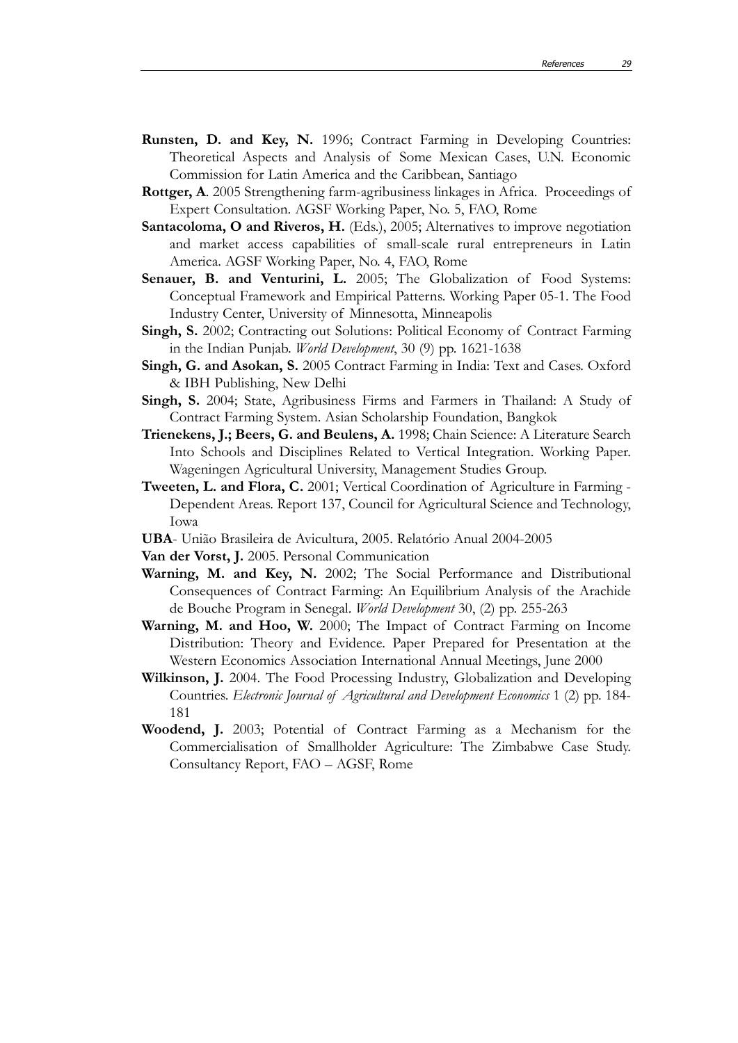- **Runsten, D. and Key, N.** 1996; Contract Farming in Developing Countries: Theoretical Aspects and Analysis of Some Mexican Cases, U.N. Economic Commission for Latin America and the Caribbean, Santiago
- **Rottger, A.** 2005 Strengthening farm-agribusiness linkages in Africa. Proceedings of Expert Consultation. AGSF Working Paper, No. 5, FAO, Rome
- **Santacoloma, O and Riveros, H.** (Eds.), 2005; Alternatives to improve negotiation and market access capabilities of small-scale rural entrepreneurs in Latin America. AGSF Working Paper, No. 4, FAO, Rome
- **Senauer, B. and Venturini, L.** 2005; The Globalization of Food Systems: Conceptual Framework and Empirical Patterns. Working Paper 05-1. The Food Industry Center, University of Minnesotta, Minneapolis
- **Singh, S.** 2002; Contracting out Solutions: Political Economy of Contract Farming in the Indian Punjab. *World Development*, 30 (9) pp. 1621-1638
- **Singh, G. and Asokan, S.** 2005 Contract Farming in India: Text and Cases. Oxford & IBH Publishing, New Delhi
- **Singh, S.** 2004; State, Agribusiness Firms and Farmers in Thailand: A Study of Contract Farming System. Asian Scholarship Foundation, Bangkok
- **Trienekens, J.; Beers, G. and Beulens, A.** 1998; Chain Science: A Literature Search Into Schools and Disciplines Related to Vertical Integration. Working Paper. Wageningen Agricultural University, Management Studies Group.
- **Tweeten, L. and Flora, C.** 2001; Vertical Coordination of Agriculture in Farming Dependent Areas. Report 137, Council for Agricultural Science and Technology, Iowa
- **UBA** União Brasileira de Avicultura, 2005. Relatório Anual 2004-2005
- **Van der Vorst, J.** 2005. Personal Communication
- **Warning, M. and Key, N.** 2002; The Social Performance and Distributional Consequences of Contract Farming: An Equilibrium Analysis of the Arachide de Bouche Program in Senegal. *World Development* 30, (2) pp. 255-263
- **Warning, M. and Hoo, W.** 2000; The Impact of Contract Farming on Income Distribution: Theory and Evidence. Paper Prepared for Presentation at the Western Economics Association International Annual Meetings, June 2000
- **Wilkinson, J.** 2004. The Food Processing Industry, Globalization and Developing Countries. *Electronic Journal of Agricultural and Development Economics* 1 (2) pp. 184- 181
- **Woodend, J.** 2003; Potential of Contract Farming as a Mechanism for the Commercialisation of Smallholder Agriculture: The Zimbabwe Case Study. Consultancy Report, FAO – AGSF, Rome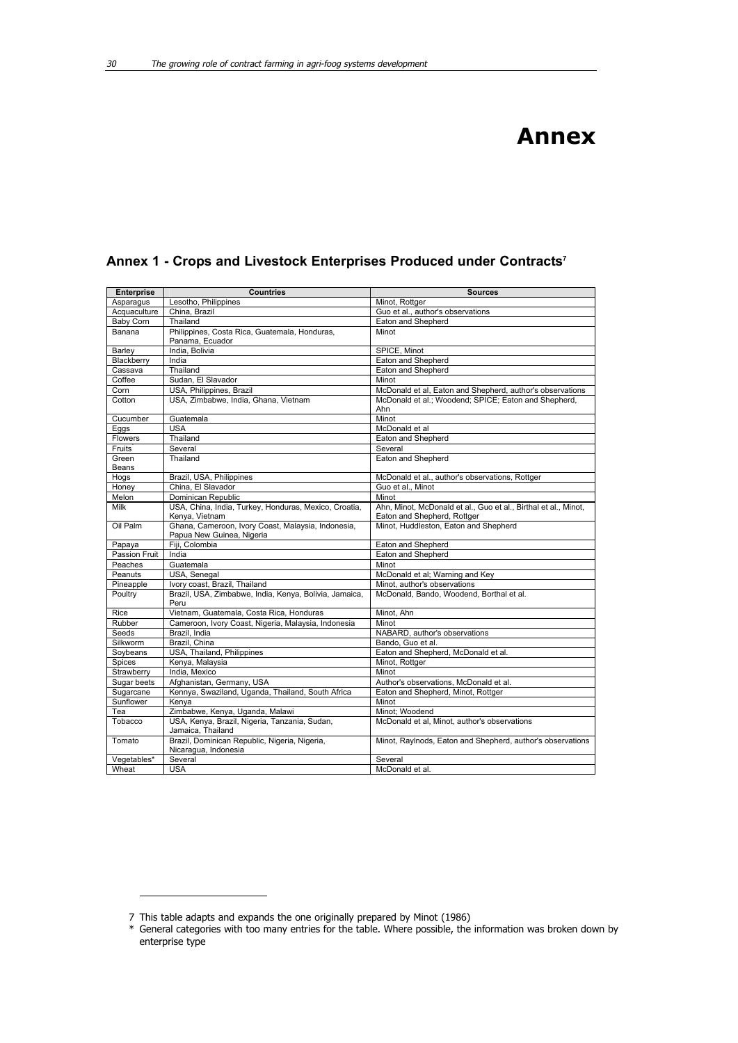| <b>Enterprise</b> | <b>Countries</b>                                                                | <b>Sources</b>                                                  |
|-------------------|---------------------------------------------------------------------------------|-----------------------------------------------------------------|
| Asparagus         | Lesotho, Philippines                                                            | Minot, Rottger                                                  |
| Acquaculture      | China, Brazil                                                                   | Guo et al., author's observations                               |
| <b>Baby Corn</b>  | Thailand                                                                        | Eaton and Shepherd                                              |
| Banana            | Philippines, Costa Rica, Guatemala, Honduras,<br>Panama, Ecuador                | Minot                                                           |
| Barley            | India, Bolivia                                                                  | SPICE, Minot                                                    |
| Blackberry        | India                                                                           | Eaton and Shepherd                                              |
| Cassava           | Thailand                                                                        | Eaton and Shepherd                                              |
| Coffee            | Sudan, El Slavador                                                              | Minot                                                           |
| Corn              | USA, Philippines, Brazil                                                        | McDonald et al, Eaton and Shepherd, author's observations       |
| Cotton            | USA, Zimbabwe, India, Ghana, Vietnam                                            | McDonald et al.; Woodend; SPICE; Eaton and Shepherd,            |
|                   |                                                                                 | Ahn                                                             |
| Cucumber          | Guatemala                                                                       | Minot                                                           |
| Eggs              | <b>USA</b>                                                                      | McDonald et al                                                  |
| Flowers           | Thailand                                                                        | Eaton and Shepherd                                              |
| Fruits            | Several                                                                         | Several                                                         |
| Green             | Thailand                                                                        | Eaton and Shepherd                                              |
| Beans             |                                                                                 |                                                                 |
| Hogs              | Brazil, USA, Philippines                                                        | McDonald et al., author's observations, Rottger                 |
| Honev             | China. El Slavador                                                              | Guo et al., Minot                                               |
| Melon             | Dominican Republic                                                              | Minot                                                           |
| Milk              | USA, China, India, Turkey, Honduras, Mexico, Croatia,                           | Ahn, Minot, McDonald et al., Guo et al., Birthal et al., Minot, |
|                   | Kenya, Vietnam                                                                  | Eaton and Shepherd, Rottger                                     |
| Oil Palm          | Ghana, Cameroon, Ivory Coast, Malaysia, Indonesia,<br>Papua New Guinea, Nigeria | Minot, Huddleston, Eaton and Shepherd                           |
| Papaya            | Fiji, Colombia                                                                  | Eaton and Shepherd                                              |
| Passion Fruit     | India                                                                           | Eaton and Shepherd                                              |
| Peaches           | Guatemala                                                                       | Minot                                                           |
| Peanuts           | USA, Senegal                                                                    | McDonald et al; Warning and Key                                 |
| Pineapple         | Ivory coast, Brazil, Thailand                                                   | Minot, author's observations                                    |
| Poultry           | Brazil, USA, Zimbabwe, India, Kenya, Bolivia, Jamaica,<br>Peru                  | McDonald, Bando, Woodend, Borthal et al.                        |
| Rice              | Vietnam. Guatemala. Costa Rica. Honduras                                        | Minot. Ahn                                                      |
| Rubber            | Cameroon, Ivory Coast, Nigeria, Malaysia, Indonesia                             | Minot                                                           |
| Seeds             | Brazil, India                                                                   | NABARD, author's observations                                   |
| Silkworm          | Brazil, China                                                                   | Bando, Guo et al.                                               |
| Soybeans          | USA, Thailand, Philippines                                                      | Eaton and Shepherd, McDonald et al.                             |
| Spices            | Kenya, Malaysia                                                                 | Minot, Rottger                                                  |
| Strawberry        | India, Mexico                                                                   | Minot                                                           |
| Sugar beets       | Afghanistan, Germany, USA                                                       | Author's observations, McDonald et al.                          |
| Sugarcane         | Kennya, Swaziland, Uganda, Thailand, South Africa                               | Eaton and Shepherd, Minot, Rottger                              |
| Sunflower         | Kenya                                                                           | Minot                                                           |
| Tea               | Zimbabwe, Kenya, Uganda, Malawi                                                 | Minot; Woodend                                                  |
| Tobacco           | USA, Kenya, Brazil, Nigeria, Tanzania, Sudan,<br>Jamaica, Thailand              | McDonald et al. Minot, author's observations                    |
| Tomato            | Brazil, Dominican Republic, Nigeria, Nigeria,<br>Nicaragua, Indonesia           | Minot, Raylnods, Eaton and Shepherd, author's observations      |
| Vegetables*       | Several                                                                         | Several                                                         |
| Wheat             | <b>USA</b>                                                                      | McDonald et al.                                                 |
|                   |                                                                                 |                                                                 |

### **Annex 1 - Crops and Livestock Enterprises Produced under Contracts7**

<sup>7</sup> This table adapts and expands the one originally prepared by Minot (1986)

<sup>\*</sup> General categories with too many entries for the table. Where possible, the information was broken down by enterprise type